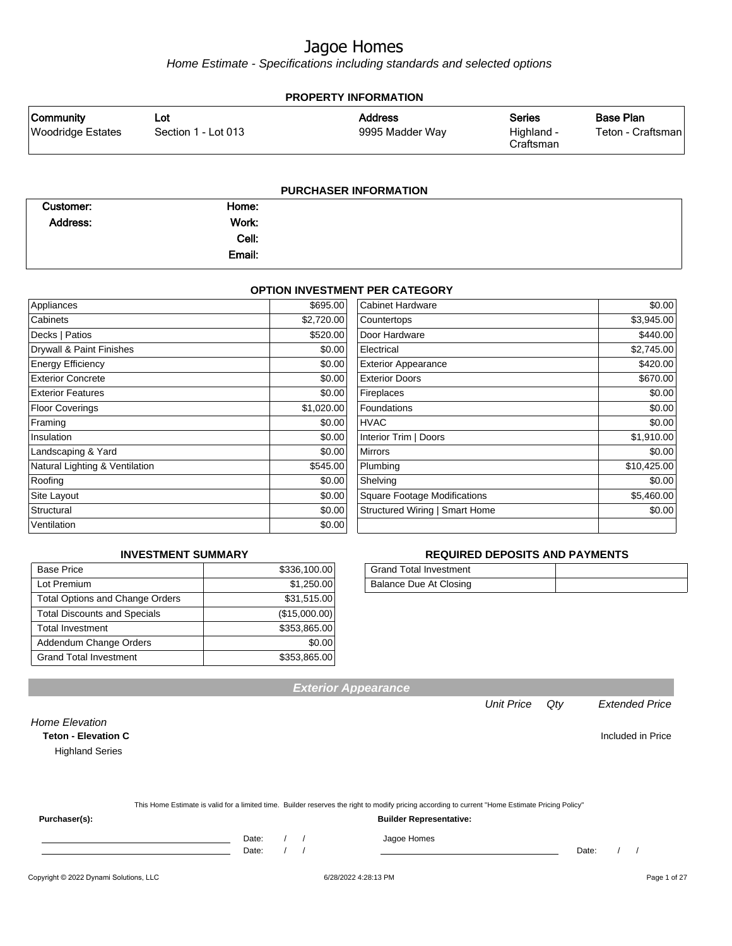Home Estimate - Specifications including standards and selected options

| <b>PROPERTY INFORMATION</b>                  |                            |                                   |                                          |                                       |  |  |  |
|----------------------------------------------|----------------------------|-----------------------------------|------------------------------------------|---------------------------------------|--|--|--|
| <b>Community</b><br><b>Woodridge Estates</b> | Lot<br>Section 1 - Lot 013 | <b>Address</b><br>9995 Madder Way | <b>Series</b><br>Highland -<br>Craftsman | <b>Base Plan</b><br>Teton - Craftsman |  |  |  |
| PURCHASER INFORMATION                        |                            |                                   |                                          |                                       |  |  |  |

| Customer:       | Home:  |  |  |
|-----------------|--------|--|--|
| <b>Address:</b> | Work:  |  |  |
|                 | Cell:  |  |  |
|                 | Email: |  |  |

#### **OPTION INVESTMENT PER CATEGORY**

| Appliances                     | \$695.00   | <b>Cabinet Hardware</b>             | \$0.00      |
|--------------------------------|------------|-------------------------------------|-------------|
| Cabinets                       | \$2,720.00 | Countertops                         | \$3,945.00  |
| Decks   Patios                 | \$520.00   | Door Hardware                       | \$440.00    |
| Drywall & Paint Finishes       | \$0.00     | Electrical                          | \$2,745.00  |
| <b>Energy Efficiency</b>       | \$0.00     | <b>Exterior Appearance</b>          | \$420.00    |
| <b>Exterior Concrete</b>       | \$0.00     | <b>Exterior Doors</b>               | \$670.00    |
| <b>Exterior Features</b>       | \$0.00     | Fireplaces                          | \$0.00      |
| <b>Floor Coverings</b>         | \$1,020.00 | Foundations                         | \$0.00      |
| Framing                        | \$0.00     | <b>HVAC</b>                         | \$0.00      |
| Insulation                     | \$0.00     | Interior Trim   Doors               | \$1,910.00  |
| Landscaping & Yard             | \$0.00     | <b>Mirrors</b>                      | \$0.00      |
| Natural Lighting & Ventilation | \$545.00   | Plumbing                            | \$10,425.00 |
| Roofing                        | \$0.00     | Shelving                            | \$0.00      |
| Site Layout                    | \$0.00     | <b>Square Footage Modifications</b> | \$5,460.00  |
| Structural                     | \$0.00     | Structured Wiring   Smart Home      | \$0.00      |
| Ventilation                    | \$0.00     |                                     |             |

#### **INVESTMENT SUMMARY**

| <b>Base Price</b>                      | \$336,100.00  |
|----------------------------------------|---------------|
| Lot Premium                            | \$1,250.00    |
| <b>Total Options and Change Orders</b> | \$31,515.00   |
| <b>Total Discounts and Specials</b>    | (\$15,000.00) |
| <b>Total Investment</b>                | \$353.865.00  |
| Addendum Change Orders                 | \$0.00        |
| <b>Grand Total Investment</b>          | \$353,865.00  |

#### **REQUIRED DEPOSITS AND PAYMENTS**

| Grand Total Investment |  |
|------------------------|--|
| Balance Due At Closing |  |

Unit Price Qty Extended Price

| Home Elevation<br><b>Teton - Elevation C</b> |       |                                                                                                                                                  | Included in Price |
|----------------------------------------------|-------|--------------------------------------------------------------------------------------------------------------------------------------------------|-------------------|
| <b>Highland Series</b>                       |       |                                                                                                                                                  |                   |
|                                              |       |                                                                                                                                                  |                   |
|                                              |       | This Home Estimate is valid for a limited time. Builder reserves the right to modify pricing according to current "Home Estimate Pricing Policy" |                   |
| Purchaser(s):                                |       | <b>Builder Representative:</b>                                                                                                                   |                   |
|                                              | Date: | Jagoe Homes                                                                                                                                      |                   |
|                                              | Date: |                                                                                                                                                  | Date:             |

**Exterior Appearance**

#### Copyright © 2022 Dynami Solutions, LLC <br>
6/28/2022 4:28:13 PM Page 1 of 27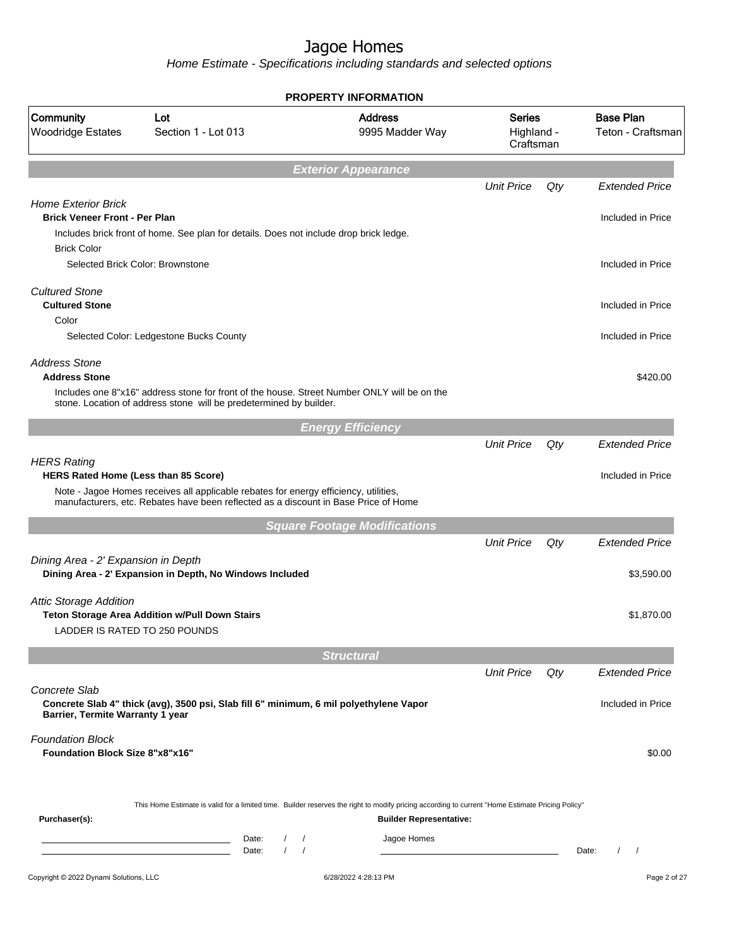|                                                                   |                                                                                                                                                                             | <b>PROPERTY INFORMATION</b>                                                                                                                                                        |                                          |     |                                       |
|-------------------------------------------------------------------|-----------------------------------------------------------------------------------------------------------------------------------------------------------------------------|------------------------------------------------------------------------------------------------------------------------------------------------------------------------------------|------------------------------------------|-----|---------------------------------------|
| Community<br><b>Woodridge Estates</b>                             | Lot<br>Section 1 - Lot 013                                                                                                                                                  | <b>Address</b><br>9995 Madder Way                                                                                                                                                  | <b>Series</b><br>Highland -<br>Craftsman |     | <b>Base Plan</b><br>Teton - Craftsman |
|                                                                   |                                                                                                                                                                             | <b>Exterior Appearance</b>                                                                                                                                                         |                                          |     |                                       |
| <b>Home Exterior Brick</b>                                        |                                                                                                                                                                             |                                                                                                                                                                                    | <b>Unit Price</b>                        | Qty | <b>Extended Price</b>                 |
| <b>Brick Veneer Front - Per Plan</b><br><b>Brick Color</b>        | Includes brick front of home. See plan for details. Does not include drop brick ledge.                                                                                      |                                                                                                                                                                                    |                                          |     | Included in Price                     |
|                                                                   | Selected Brick Color: Brownstone                                                                                                                                            |                                                                                                                                                                                    |                                          |     | Included in Price                     |
| <b>Cultured Stone</b><br><b>Cultured Stone</b><br>Color           |                                                                                                                                                                             |                                                                                                                                                                                    |                                          |     | Included in Price                     |
|                                                                   | Selected Color: Ledgestone Bucks County                                                                                                                                     |                                                                                                                                                                                    |                                          |     | Included in Price                     |
| <b>Address Stone</b><br><b>Address Stone</b>                      |                                                                                                                                                                             |                                                                                                                                                                                    |                                          |     | \$420.00                              |
|                                                                   | Includes one 8"x16" address stone for front of the house. Street Number ONLY will be on the<br>stone. Location of address stone will be predetermined by builder.           |                                                                                                                                                                                    |                                          |     |                                       |
|                                                                   |                                                                                                                                                                             | <b>Energy Efficiency</b>                                                                                                                                                           |                                          |     |                                       |
| <b>HERS Rating</b>                                                |                                                                                                                                                                             |                                                                                                                                                                                    | <b>Unit Price</b>                        | Qty | <b>Extended Price</b>                 |
| HERS Rated Home (Less than 85 Score)                              | Note - Jagoe Homes receives all applicable rebates for energy efficiency, utilities,<br>manufacturers, etc. Rebates have been reflected as a discount in Base Price of Home |                                                                                                                                                                                    |                                          |     | Included in Price                     |
|                                                                   |                                                                                                                                                                             | <b>Square Footage Modifications</b>                                                                                                                                                |                                          |     |                                       |
|                                                                   |                                                                                                                                                                             |                                                                                                                                                                                    | <b>Unit Price</b>                        | Qty | <b>Extended Price</b>                 |
| Dining Area - 2' Expansion in Depth                               | Dining Area - 2' Expansion in Depth, No Windows Included                                                                                                                    |                                                                                                                                                                                    |                                          |     | \$3,590.00                            |
| <b>Attic Storage Addition</b>                                     | Teton Storage Area Addition w/Pull Down Stairs<br>LADDER IS RATED TO 250 POUNDS                                                                                             |                                                                                                                                                                                    |                                          |     | \$1,870.00                            |
|                                                                   |                                                                                                                                                                             | <b>Structural</b>                                                                                                                                                                  |                                          |     |                                       |
|                                                                   |                                                                                                                                                                             |                                                                                                                                                                                    | <b>Unit Price</b>                        | Qty | <b>Extended Price</b>                 |
| Concrete Slab<br>Barrier, Termite Warranty 1 year                 | Concrete Slab 4" thick (avg), 3500 psi, Slab fill 6" minimum, 6 mil polyethylene Vapor                                                                                      |                                                                                                                                                                                    |                                          |     | Included in Price                     |
| <b>Foundation Block</b><br><b>Foundation Block Size 8"x8"x16"</b> |                                                                                                                                                                             |                                                                                                                                                                                    |                                          |     | \$0.00                                |
| Purchaser(s):                                                     |                                                                                                                                                                             | This Home Estimate is valid for a limited time. Builder reserves the right to modify pricing according to current "Home Estimate Pricing Policy"<br><b>Builder Representative:</b> |                                          |     |                                       |
|                                                                   | Date:<br>$\prime$<br><u> 1989 - Johann Barn, amerikansk politiker (</u><br>$\prime$<br>Date:                                                                                | Jagoe Homes<br>$\prime$<br>$\sqrt{ }$                                                                                                                                              |                                          |     | Date:<br>$\prime$<br>$\prime$         |
| Copyright © 2022 Dynami Solutions, LLC                            |                                                                                                                                                                             | 6/28/2022 4:28:13 PM                                                                                                                                                               |                                          |     | Page 2 of 27                          |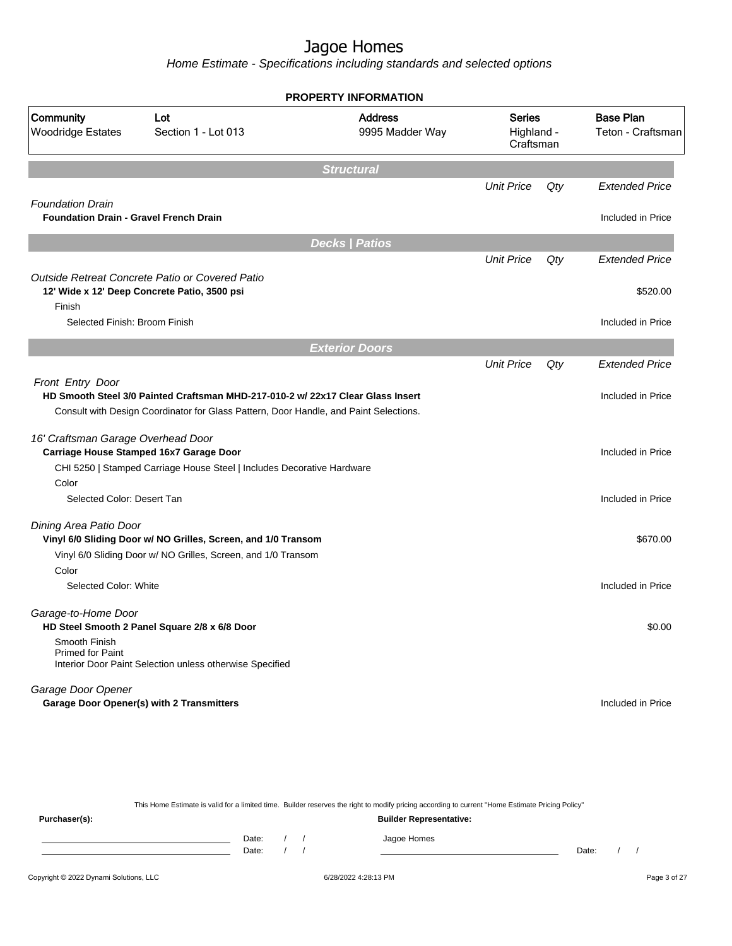Home Estimate - Specifications including standards and selected options

|                                                                          |                                                                                                                                                                          | <b>PROPERTY INFORMATION</b>       |                                          |     |                                       |
|--------------------------------------------------------------------------|--------------------------------------------------------------------------------------------------------------------------------------------------------------------------|-----------------------------------|------------------------------------------|-----|---------------------------------------|
| Community<br><b>Woodridge Estates</b>                                    | Lot<br>Section 1 - Lot 013                                                                                                                                               | <b>Address</b><br>9995 Madder Way | <b>Series</b><br>Highland -<br>Craftsman |     | <b>Base Plan</b><br>Teton - Craftsman |
|                                                                          |                                                                                                                                                                          | <b>Structural</b>                 |                                          |     |                                       |
|                                                                          |                                                                                                                                                                          |                                   | <b>Unit Price</b>                        | Qty | <b>Extended Price</b>                 |
| <b>Foundation Drain</b><br><b>Foundation Drain - Gravel French Drain</b> |                                                                                                                                                                          |                                   |                                          |     | Included in Price                     |
|                                                                          |                                                                                                                                                                          | <b>Decks   Patios</b>             |                                          |     |                                       |
|                                                                          |                                                                                                                                                                          |                                   | <b>Unit Price</b>                        | Qty | Extended Price                        |
| Finish                                                                   | Outside Retreat Concrete Patio or Covered Patio<br>12' Wide x 12' Deep Concrete Patio, 3500 psi                                                                          |                                   |                                          |     | \$520.00                              |
| Selected Finish: Broom Finish                                            |                                                                                                                                                                          |                                   |                                          |     | Included in Price                     |
|                                                                          |                                                                                                                                                                          | <b>Exterior Doors</b>             |                                          |     |                                       |
|                                                                          |                                                                                                                                                                          |                                   | <b>Unit Price</b>                        | Qty | <b>Extended Price</b>                 |
| Front Entry Door                                                         | HD Smooth Steel 3/0 Painted Craftsman MHD-217-010-2 w/ 22x17 Clear Glass Insert<br>Consult with Design Coordinator for Glass Pattern, Door Handle, and Paint Selections. |                                   |                                          |     | Included in Price                     |
| 16' Craftsman Garage Overhead Door                                       | Carriage House Stamped 16x7 Garage Door                                                                                                                                  |                                   |                                          |     | Included in Price                     |
|                                                                          | CHI 5250   Stamped Carriage House Steel   Includes Decorative Hardware                                                                                                   |                                   |                                          |     |                                       |
| Color                                                                    |                                                                                                                                                                          |                                   |                                          |     |                                       |
| Selected Color: Desert Tan                                               |                                                                                                                                                                          |                                   |                                          |     | Included in Price                     |
| Dining Area Patio Door                                                   | Vinyl 6/0 Sliding Door w/ NO Grilles, Screen, and 1/0 Transom                                                                                                            |                                   |                                          |     | \$670.00                              |
|                                                                          | Vinyl 6/0 Sliding Door w/ NO Grilles, Screen, and 1/0 Transom                                                                                                            |                                   |                                          |     |                                       |
| Color                                                                    |                                                                                                                                                                          |                                   |                                          |     |                                       |
| Selected Color: White                                                    |                                                                                                                                                                          |                                   |                                          |     | Included in Price                     |
| Garage-to-Home Door                                                      | HD Steel Smooth 2 Panel Square 2/8 x 6/8 Door                                                                                                                            |                                   |                                          |     | \$0.00                                |
| Smooth Finish<br><b>Primed for Paint</b>                                 | Interior Door Paint Selection unless otherwise Specified                                                                                                                 |                                   |                                          |     |                                       |
| Garage Door Opener                                                       |                                                                                                                                                                          |                                   |                                          |     |                                       |
|                                                                          | <b>Garage Door Opener(s) with 2 Transmitters</b>                                                                                                                         |                                   |                                          |     | Included in Price                     |

This Home Estimate is valid for a limited time. Builder reserves the right to modify pricing according to current "Home Estimate Pricing Policy" **Purchaser(s): Builder Representative:** Date: / / Jagoe Homes<br>Date: / / Jagoe Homes Date: / / Date: / /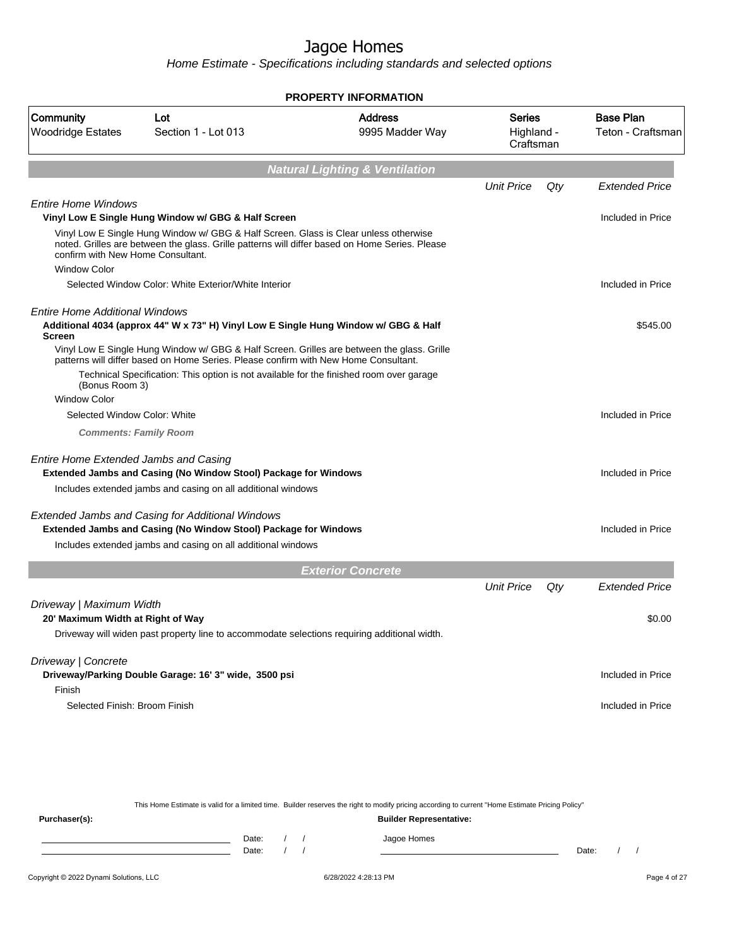Home Estimate - Specifications including standards and selected options

| <b>Address</b><br><b>Base Plan</b><br>Community<br>Lot<br>Series<br><b>Woodridge Estates</b><br>9995 Madder Way<br>Section 1 - Lot 013<br>Highland -<br>Craftsman<br><b>Natural Lighting &amp; Ventilation</b><br><b>Unit Price</b><br>Qty<br><b>Extended Price</b><br><b>Entire Home Windows</b><br>Vinyl Low E Single Hung Window w/ GBG & Half Screen<br>Included in Price<br>Vinyl Low E Single Hung Window w/ GBG & Half Screen. Glass is Clear unless otherwise<br>noted. Grilles are between the glass. Grille patterns will differ based on Home Series. Please<br>confirm with New Home Consultant.<br><b>Window Color</b><br>Selected Window Color: White Exterior/White Interior<br>Included in Price<br><b>Entire Home Additional Windows</b><br>Additional 4034 (approx 44" W x 73" H) Vinyl Low E Single Hung Window w/ GBG & Half<br>\$545.00<br><b>Screen</b><br>Vinyl Low E Single Hung Window w/ GBG & Half Screen. Grilles are between the glass. Grille<br>patterns will differ based on Home Series. Please confirm with New Home Consultant.<br>Technical Specification: This option is not available for the finished room over garage<br>(Bonus Room 3)<br><b>Window Color</b><br>Selected Window Color: White<br>Included in Price<br><b>Comments: Family Room</b><br><b>Entire Home Extended Jambs and Casing</b><br>Extended Jambs and Casing (No Window Stool) Package for Windows<br>Included in Price<br>Includes extended jambs and casing on all additional windows<br><b>Extended Jambs and Casing for Additional Windows</b><br>Extended Jambs and Casing (No Window Stool) Package for Windows<br>Included in Price<br>Includes extended jambs and casing on all additional windows<br><b>Exterior Concrete</b><br><b>Unit Price</b><br>Qty<br><b>Extended Price</b><br>Driveway   Maximum Width<br>20' Maximum Width at Right of Way<br>\$0.00<br>Driveway will widen past property line to accommodate selections requiring additional width.<br>Driveway   Concrete<br>Driveway/Parking Double Garage: 16' 3" wide, 3500 psi<br>Included in Price<br>Finish<br>Selected Finish: Broom Finish<br>Included in Price |  | <b>PROPERTY INFORMATION</b> |  |                   |
|---------------------------------------------------------------------------------------------------------------------------------------------------------------------------------------------------------------------------------------------------------------------------------------------------------------------------------------------------------------------------------------------------------------------------------------------------------------------------------------------------------------------------------------------------------------------------------------------------------------------------------------------------------------------------------------------------------------------------------------------------------------------------------------------------------------------------------------------------------------------------------------------------------------------------------------------------------------------------------------------------------------------------------------------------------------------------------------------------------------------------------------------------------------------------------------------------------------------------------------------------------------------------------------------------------------------------------------------------------------------------------------------------------------------------------------------------------------------------------------------------------------------------------------------------------------------------------------------------------------------------------------------------------------------------------------------------------------------------------------------------------------------------------------------------------------------------------------------------------------------------------------------------------------------------------------------------------------------------------------------------------------------------------------------------------------------------------------------------------------------------------------------------------|--|-----------------------------|--|-------------------|
|                                                                                                                                                                                                                                                                                                                                                                                                                                                                                                                                                                                                                                                                                                                                                                                                                                                                                                                                                                                                                                                                                                                                                                                                                                                                                                                                                                                                                                                                                                                                                                                                                                                                                                                                                                                                                                                                                                                                                                                                                                                                                                                                                         |  |                             |  | Teton - Craftsman |
|                                                                                                                                                                                                                                                                                                                                                                                                                                                                                                                                                                                                                                                                                                                                                                                                                                                                                                                                                                                                                                                                                                                                                                                                                                                                                                                                                                                                                                                                                                                                                                                                                                                                                                                                                                                                                                                                                                                                                                                                                                                                                                                                                         |  |                             |  |                   |
|                                                                                                                                                                                                                                                                                                                                                                                                                                                                                                                                                                                                                                                                                                                                                                                                                                                                                                                                                                                                                                                                                                                                                                                                                                                                                                                                                                                                                                                                                                                                                                                                                                                                                                                                                                                                                                                                                                                                                                                                                                                                                                                                                         |  |                             |  |                   |
|                                                                                                                                                                                                                                                                                                                                                                                                                                                                                                                                                                                                                                                                                                                                                                                                                                                                                                                                                                                                                                                                                                                                                                                                                                                                                                                                                                                                                                                                                                                                                                                                                                                                                                                                                                                                                                                                                                                                                                                                                                                                                                                                                         |  |                             |  |                   |
|                                                                                                                                                                                                                                                                                                                                                                                                                                                                                                                                                                                                                                                                                                                                                                                                                                                                                                                                                                                                                                                                                                                                                                                                                                                                                                                                                                                                                                                                                                                                                                                                                                                                                                                                                                                                                                                                                                                                                                                                                                                                                                                                                         |  |                             |  |                   |
|                                                                                                                                                                                                                                                                                                                                                                                                                                                                                                                                                                                                                                                                                                                                                                                                                                                                                                                                                                                                                                                                                                                                                                                                                                                                                                                                                                                                                                                                                                                                                                                                                                                                                                                                                                                                                                                                                                                                                                                                                                                                                                                                                         |  |                             |  |                   |
|                                                                                                                                                                                                                                                                                                                                                                                                                                                                                                                                                                                                                                                                                                                                                                                                                                                                                                                                                                                                                                                                                                                                                                                                                                                                                                                                                                                                                                                                                                                                                                                                                                                                                                                                                                                                                                                                                                                                                                                                                                                                                                                                                         |  |                             |  |                   |
|                                                                                                                                                                                                                                                                                                                                                                                                                                                                                                                                                                                                                                                                                                                                                                                                                                                                                                                                                                                                                                                                                                                                                                                                                                                                                                                                                                                                                                                                                                                                                                                                                                                                                                                                                                                                                                                                                                                                                                                                                                                                                                                                                         |  |                             |  |                   |
|                                                                                                                                                                                                                                                                                                                                                                                                                                                                                                                                                                                                                                                                                                                                                                                                                                                                                                                                                                                                                                                                                                                                                                                                                                                                                                                                                                                                                                                                                                                                                                                                                                                                                                                                                                                                                                                                                                                                                                                                                                                                                                                                                         |  |                             |  |                   |
|                                                                                                                                                                                                                                                                                                                                                                                                                                                                                                                                                                                                                                                                                                                                                                                                                                                                                                                                                                                                                                                                                                                                                                                                                                                                                                                                                                                                                                                                                                                                                                                                                                                                                                                                                                                                                                                                                                                                                                                                                                                                                                                                                         |  |                             |  |                   |
|                                                                                                                                                                                                                                                                                                                                                                                                                                                                                                                                                                                                                                                                                                                                                                                                                                                                                                                                                                                                                                                                                                                                                                                                                                                                                                                                                                                                                                                                                                                                                                                                                                                                                                                                                                                                                                                                                                                                                                                                                                                                                                                                                         |  |                             |  |                   |
|                                                                                                                                                                                                                                                                                                                                                                                                                                                                                                                                                                                                                                                                                                                                                                                                                                                                                                                                                                                                                                                                                                                                                                                                                                                                                                                                                                                                                                                                                                                                                                                                                                                                                                                                                                                                                                                                                                                                                                                                                                                                                                                                                         |  |                             |  |                   |
|                                                                                                                                                                                                                                                                                                                                                                                                                                                                                                                                                                                                                                                                                                                                                                                                                                                                                                                                                                                                                                                                                                                                                                                                                                                                                                                                                                                                                                                                                                                                                                                                                                                                                                                                                                                                                                                                                                                                                                                                                                                                                                                                                         |  |                             |  |                   |
|                                                                                                                                                                                                                                                                                                                                                                                                                                                                                                                                                                                                                                                                                                                                                                                                                                                                                                                                                                                                                                                                                                                                                                                                                                                                                                                                                                                                                                                                                                                                                                                                                                                                                                                                                                                                                                                                                                                                                                                                                                                                                                                                                         |  |                             |  |                   |
|                                                                                                                                                                                                                                                                                                                                                                                                                                                                                                                                                                                                                                                                                                                                                                                                                                                                                                                                                                                                                                                                                                                                                                                                                                                                                                                                                                                                                                                                                                                                                                                                                                                                                                                                                                                                                                                                                                                                                                                                                                                                                                                                                         |  |                             |  |                   |
|                                                                                                                                                                                                                                                                                                                                                                                                                                                                                                                                                                                                                                                                                                                                                                                                                                                                                                                                                                                                                                                                                                                                                                                                                                                                                                                                                                                                                                                                                                                                                                                                                                                                                                                                                                                                                                                                                                                                                                                                                                                                                                                                                         |  |                             |  |                   |
|                                                                                                                                                                                                                                                                                                                                                                                                                                                                                                                                                                                                                                                                                                                                                                                                                                                                                                                                                                                                                                                                                                                                                                                                                                                                                                                                                                                                                                                                                                                                                                                                                                                                                                                                                                                                                                                                                                                                                                                                                                                                                                                                                         |  |                             |  |                   |
|                                                                                                                                                                                                                                                                                                                                                                                                                                                                                                                                                                                                                                                                                                                                                                                                                                                                                                                                                                                                                                                                                                                                                                                                                                                                                                                                                                                                                                                                                                                                                                                                                                                                                                                                                                                                                                                                                                                                                                                                                                                                                                                                                         |  |                             |  |                   |
|                                                                                                                                                                                                                                                                                                                                                                                                                                                                                                                                                                                                                                                                                                                                                                                                                                                                                                                                                                                                                                                                                                                                                                                                                                                                                                                                                                                                                                                                                                                                                                                                                                                                                                                                                                                                                                                                                                                                                                                                                                                                                                                                                         |  |                             |  |                   |
|                                                                                                                                                                                                                                                                                                                                                                                                                                                                                                                                                                                                                                                                                                                                                                                                                                                                                                                                                                                                                                                                                                                                                                                                                                                                                                                                                                                                                                                                                                                                                                                                                                                                                                                                                                                                                                                                                                                                                                                                                                                                                                                                                         |  |                             |  |                   |
|                                                                                                                                                                                                                                                                                                                                                                                                                                                                                                                                                                                                                                                                                                                                                                                                                                                                                                                                                                                                                                                                                                                                                                                                                                                                                                                                                                                                                                                                                                                                                                                                                                                                                                                                                                                                                                                                                                                                                                                                                                                                                                                                                         |  |                             |  |                   |
|                                                                                                                                                                                                                                                                                                                                                                                                                                                                                                                                                                                                                                                                                                                                                                                                                                                                                                                                                                                                                                                                                                                                                                                                                                                                                                                                                                                                                                                                                                                                                                                                                                                                                                                                                                                                                                                                                                                                                                                                                                                                                                                                                         |  |                             |  |                   |
|                                                                                                                                                                                                                                                                                                                                                                                                                                                                                                                                                                                                                                                                                                                                                                                                                                                                                                                                                                                                                                                                                                                                                                                                                                                                                                                                                                                                                                                                                                                                                                                                                                                                                                                                                                                                                                                                                                                                                                                                                                                                                                                                                         |  |                             |  |                   |
|                                                                                                                                                                                                                                                                                                                                                                                                                                                                                                                                                                                                                                                                                                                                                                                                                                                                                                                                                                                                                                                                                                                                                                                                                                                                                                                                                                                                                                                                                                                                                                                                                                                                                                                                                                                                                                                                                                                                                                                                                                                                                                                                                         |  |                             |  |                   |
|                                                                                                                                                                                                                                                                                                                                                                                                                                                                                                                                                                                                                                                                                                                                                                                                                                                                                                                                                                                                                                                                                                                                                                                                                                                                                                                                                                                                                                                                                                                                                                                                                                                                                                                                                                                                                                                                                                                                                                                                                                                                                                                                                         |  |                             |  |                   |
|                                                                                                                                                                                                                                                                                                                                                                                                                                                                                                                                                                                                                                                                                                                                                                                                                                                                                                                                                                                                                                                                                                                                                                                                                                                                                                                                                                                                                                                                                                                                                                                                                                                                                                                                                                                                                                                                                                                                                                                                                                                                                                                                                         |  |                             |  |                   |
|                                                                                                                                                                                                                                                                                                                                                                                                                                                                                                                                                                                                                                                                                                                                                                                                                                                                                                                                                                                                                                                                                                                                                                                                                                                                                                                                                                                                                                                                                                                                                                                                                                                                                                                                                                                                                                                                                                                                                                                                                                                                                                                                                         |  |                             |  |                   |
|                                                                                                                                                                                                                                                                                                                                                                                                                                                                                                                                                                                                                                                                                                                                                                                                                                                                                                                                                                                                                                                                                                                                                                                                                                                                                                                                                                                                                                                                                                                                                                                                                                                                                                                                                                                                                                                                                                                                                                                                                                                                                                                                                         |  |                             |  |                   |
|                                                                                                                                                                                                                                                                                                                                                                                                                                                                                                                                                                                                                                                                                                                                                                                                                                                                                                                                                                                                                                                                                                                                                                                                                                                                                                                                                                                                                                                                                                                                                                                                                                                                                                                                                                                                                                                                                                                                                                                                                                                                                                                                                         |  |                             |  |                   |
|                                                                                                                                                                                                                                                                                                                                                                                                                                                                                                                                                                                                                                                                                                                                                                                                                                                                                                                                                                                                                                                                                                                                                                                                                                                                                                                                                                                                                                                                                                                                                                                                                                                                                                                                                                                                                                                                                                                                                                                                                                                                                                                                                         |  |                             |  |                   |

This Home Estimate is valid for a limited time. Builder reserves the right to modify pricing according to current "Home Estimate Pricing Policy" **Purchaser(s): Builder Representative:** Date: / / Jagoe Homes<br>Date: / / Jagoe Homes Date: / / Date: / /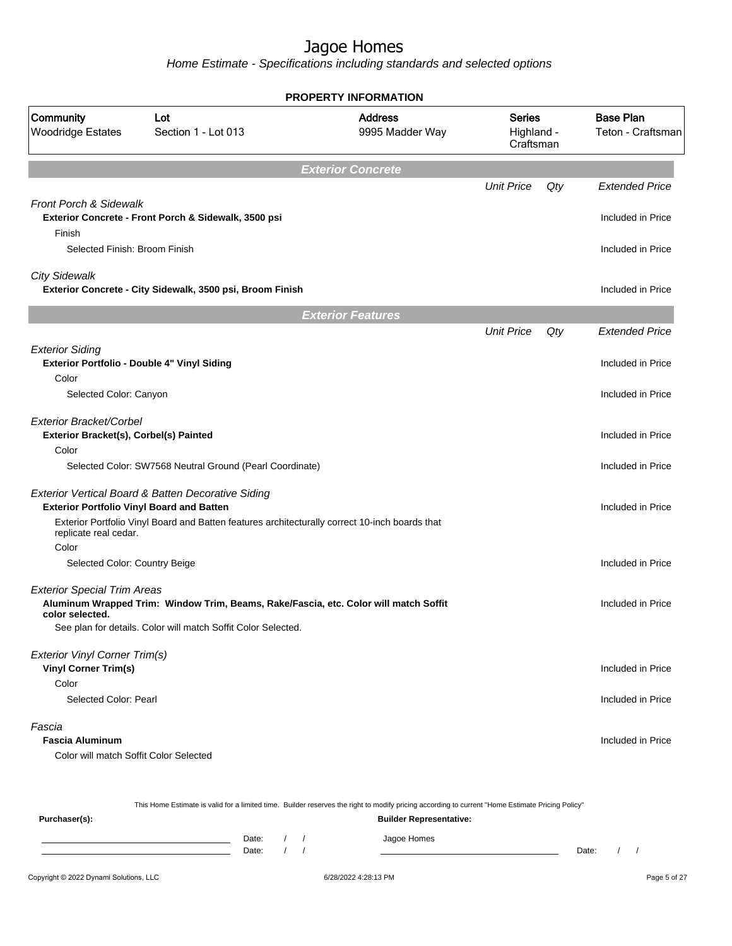|                                                                   |                                                                                                                                                  | <b>PROPERTY INFORMATION</b>       |                                          |     |                       |  |                                       |
|-------------------------------------------------------------------|--------------------------------------------------------------------------------------------------------------------------------------------------|-----------------------------------|------------------------------------------|-----|-----------------------|--|---------------------------------------|
| Community<br><b>Woodridge Estates</b>                             | Lot<br>Section 1 - Lot 013                                                                                                                       | <b>Address</b><br>9995 Madder Way | <b>Series</b><br>Highland -<br>Craftsman |     |                       |  | <b>Base Plan</b><br>Teton - Craftsman |
|                                                                   |                                                                                                                                                  | <b>Exterior Concrete</b>          |                                          |     |                       |  |                                       |
|                                                                   |                                                                                                                                                  |                                   | <b>Unit Price</b>                        | Qty | <b>Extended Price</b> |  |                                       |
| <b>Front Porch &amp; Sidewalk</b>                                 | Exterior Concrete - Front Porch & Sidewalk, 3500 psi                                                                                             |                                   |                                          |     | Included in Price     |  |                                       |
| Finish<br>Selected Finish: Broom Finish                           |                                                                                                                                                  |                                   |                                          |     | Included in Price     |  |                                       |
| <b>City Sidewalk</b>                                              | Exterior Concrete - City Sidewalk, 3500 psi, Broom Finish                                                                                        |                                   |                                          |     | Included in Price     |  |                                       |
|                                                                   |                                                                                                                                                  | <b>Exterior Features</b>          |                                          |     |                       |  |                                       |
|                                                                   |                                                                                                                                                  |                                   | <b>Unit Price</b>                        | Qty | <b>Extended Price</b> |  |                                       |
| <b>Exterior Siding</b>                                            | Exterior Portfolio - Double 4" Vinyl Siding                                                                                                      |                                   |                                          |     | Included in Price     |  |                                       |
| Color<br>Selected Color: Canyon                                   |                                                                                                                                                  |                                   |                                          |     | Included in Price     |  |                                       |
| Exterior Bracket/Corbel<br>Exterior Bracket(s), Corbel(s) Painted |                                                                                                                                                  |                                   |                                          |     | Included in Price     |  |                                       |
| Color                                                             | Selected Color: SW7568 Neutral Ground (Pearl Coordinate)                                                                                         |                                   |                                          |     | Included in Price     |  |                                       |
| <b>Exterior Portfolio Vinyl Board and Batten</b>                  | Exterior Vertical Board & Batten Decorative Siding                                                                                               |                                   |                                          |     | Included in Price     |  |                                       |
| replicate real cedar.<br>Color                                    | Exterior Portfolio Vinyl Board and Batten features architecturally correct 10-inch boards that                                                   |                                   |                                          |     |                       |  |                                       |
| Selected Color: Country Beige                                     |                                                                                                                                                  |                                   |                                          |     | Included in Price     |  |                                       |
| <b>Exterior Special Trim Areas</b><br>color selected.             | Aluminum Wrapped Trim: Window Trim, Beams, Rake/Fascia, etc. Color will match Soffit                                                             |                                   |                                          |     | Included in Price     |  |                                       |
|                                                                   | See plan for details. Color will match Soffit Color Selected.                                                                                    |                                   |                                          |     |                       |  |                                       |
| Exterior Vinyl Corner Trim(s)<br><b>Vinyl Corner Trim(s)</b>      |                                                                                                                                                  |                                   |                                          |     | Included in Price     |  |                                       |
| Color<br>Selected Color: Pearl                                    |                                                                                                                                                  |                                   |                                          |     | Included in Price     |  |                                       |
| Fascia<br><b>Fascia Aluminum</b>                                  |                                                                                                                                                  |                                   |                                          |     | Included in Price     |  |                                       |
| Color will match Soffit Color Selected                            |                                                                                                                                                  |                                   |                                          |     |                       |  |                                       |
|                                                                   | This Home Estimate is valid for a limited time. Builder reserves the right to modify pricing according to current "Home Estimate Pricing Policy" |                                   |                                          |     |                       |  |                                       |
| Purchaser(s):                                                     |                                                                                                                                                  | <b>Builder Representative:</b>    |                                          |     |                       |  |                                       |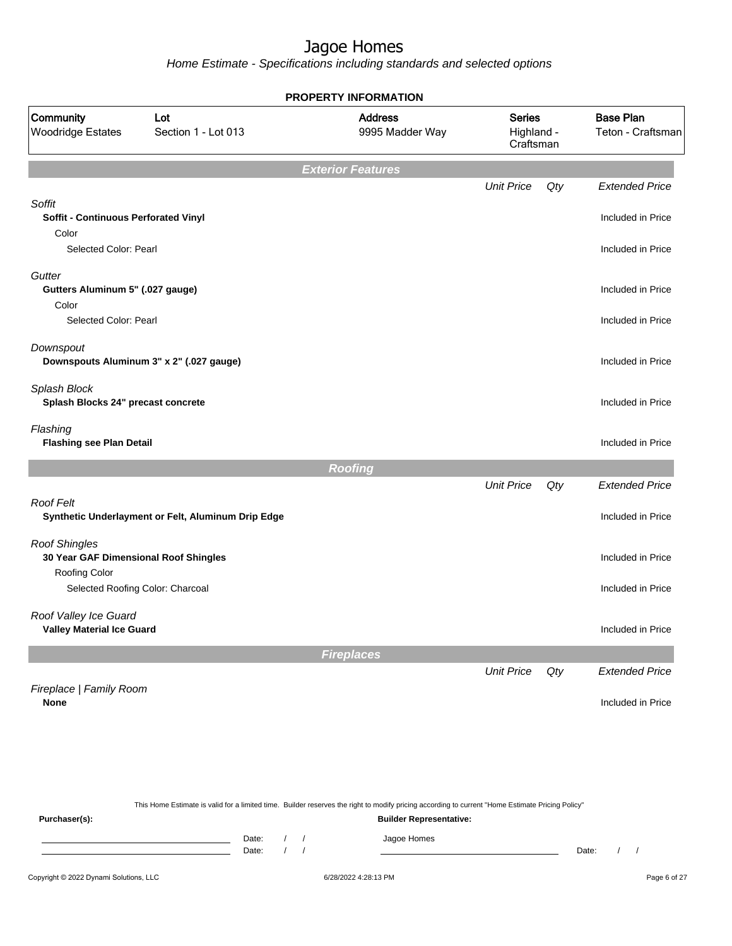Home Estimate - Specifications including standards and selected options

| Community<br><b>Woodridge Estates</b>                         | Lot<br>Section 1 - Lot 013                         | <b>Address</b><br>9995 Madder Way | <b>Series</b><br>Highland -<br>Craftsman |     | <b>Base Plan</b><br>Teton - Craftsman |
|---------------------------------------------------------------|----------------------------------------------------|-----------------------------------|------------------------------------------|-----|---------------------------------------|
|                                                               |                                                    | <b>Exterior Features</b>          |                                          |     |                                       |
|                                                               |                                                    |                                   | <b>Unit Price</b>                        | Qty | <b>Extended Price</b>                 |
| Soffit<br>Soffit - Continuous Perforated Vinyl<br>Color       |                                                    |                                   |                                          |     | Included in Price                     |
| Selected Color: Pearl                                         |                                                    |                                   |                                          |     | Included in Price                     |
| Gutter<br>Gutters Aluminum 5" (.027 gauge)                    |                                                    |                                   |                                          |     | Included in Price                     |
| Color<br>Selected Color: Pearl                                |                                                    |                                   |                                          |     | Included in Price                     |
| Downspout                                                     | Downspouts Aluminum 3" x 2" (.027 gauge)           |                                   |                                          |     | Included in Price                     |
| Splash Block<br>Splash Blocks 24" precast concrete            |                                                    |                                   |                                          |     | Included in Price                     |
| Flashing<br><b>Flashing see Plan Detail</b>                   |                                                    |                                   |                                          |     | Included in Price                     |
|                                                               |                                                    | <b>Roofing</b>                    |                                          |     |                                       |
|                                                               |                                                    |                                   | <b>Unit Price</b>                        | Qty | <b>Extended Price</b>                 |
| Roof Felt                                                     | Synthetic Underlayment or Felt, Aluminum Drip Edge |                                   |                                          |     | Included in Price                     |
| <b>Roof Shingles</b><br>30 Year GAF Dimensional Roof Shingles |                                                    |                                   |                                          |     | Included in Price                     |
| Roofing Color<br>Selected Roofing Color: Charcoal             |                                                    |                                   |                                          |     | Included in Price                     |
| Roof Valley Ice Guard<br><b>Valley Material Ice Guard</b>     |                                                    |                                   |                                          |     | Included in Price                     |
|                                                               |                                                    | <b>Fireplaces</b>                 |                                          |     |                                       |
|                                                               |                                                    |                                   | <b>Unit Price</b>                        | Qty | <b>Extended Price</b>                 |
| Fireplace   Family Room<br><b>None</b>                        |                                                    |                                   |                                          |     | Included in Price                     |
|                                                               |                                                    |                                   |                                          |     |                                       |
|                                                               |                                                    |                                   |                                          |     |                                       |

This Home Estimate is valid for a limited time. Builder reserves the right to modify pricing according to current "Home Estimate Pricing Policy" **Purchaser(s): Builder Representative:** Date: / / Jagoe Homes<br>Date: / / Jagoe Homes Date: / / Date: / /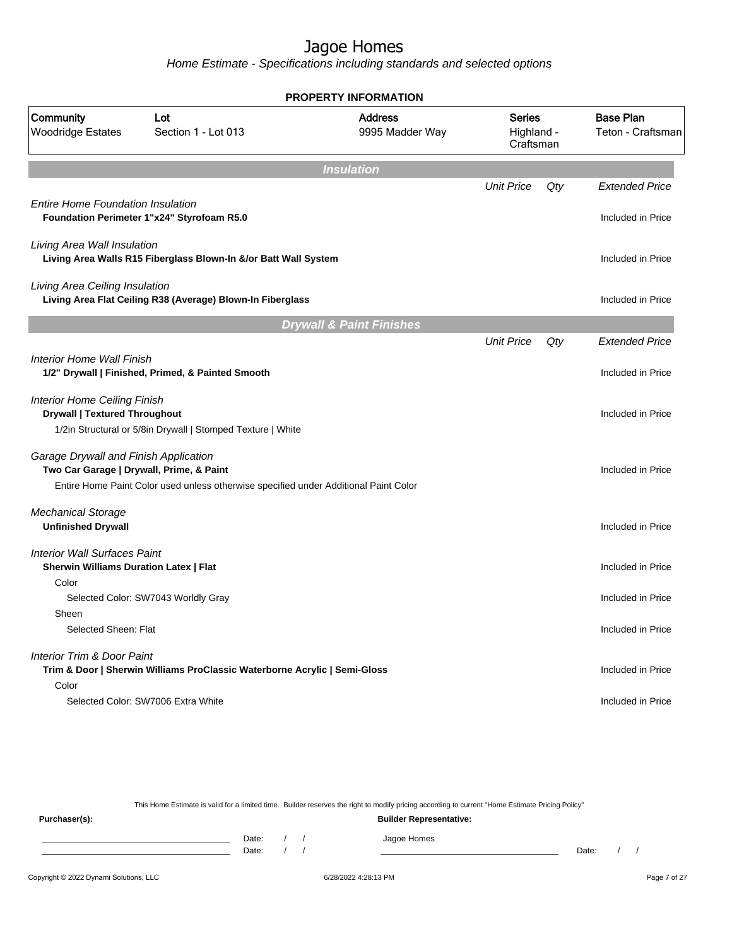Home Estimate - Specifications including standards and selected options

|                                                                                      |                                                                                      | <b>PROPERTY INFORMATION</b>         |                                          |     |                                       |
|--------------------------------------------------------------------------------------|--------------------------------------------------------------------------------------|-------------------------------------|------------------------------------------|-----|---------------------------------------|
| Community<br><b>Woodridge Estates</b>                                                | Lot<br>Section 1 - Lot 013                                                           | <b>Address</b><br>9995 Madder Way   | <b>Series</b><br>Highland -<br>Craftsman |     | <b>Base Plan</b><br>Teton - Craftsman |
|                                                                                      |                                                                                      | <b>Insulation</b>                   |                                          |     |                                       |
|                                                                                      |                                                                                      |                                     | <b>Unit Price</b>                        | Qty | <b>Extended Price</b>                 |
| <b>Entire Home Foundation Insulation</b>                                             | Foundation Perimeter 1"x24" Styrofoam R5.0                                           |                                     |                                          |     | Included in Price                     |
| Living Area Wall Insulation                                                          | Living Area Walls R15 Fiberglass Blown-In &/or Batt Wall System                      |                                     |                                          |     | Included in Price                     |
| Living Area Ceiling Insulation                                                       | Living Area Flat Ceiling R38 (Average) Blown-In Fiberglass                           |                                     |                                          |     | Included in Price                     |
|                                                                                      |                                                                                      | <b>Drywall &amp; Paint Finishes</b> |                                          |     |                                       |
|                                                                                      |                                                                                      |                                     | <b>Unit Price</b>                        | Qty | <b>Extended Price</b>                 |
| <b>Interior Home Wall Finish</b>                                                     | 1/2" Drywall   Finished, Primed, & Painted Smooth                                    |                                     |                                          |     | Included in Price                     |
| <b>Interior Home Ceiling Finish</b><br><b>Drywall   Textured Throughout</b>          | 1/2in Structural or 5/8in Drywall   Stomped Texture   White                          |                                     |                                          |     | Included in Price                     |
| Garage Drywall and Finish Application                                                | Two Car Garage   Drywall, Prime, & Paint                                             |                                     |                                          |     | Included in Price                     |
|                                                                                      | Entire Home Paint Color used unless otherwise specified under Additional Paint Color |                                     |                                          |     |                                       |
| <b>Mechanical Storage</b><br><b>Unfinished Drywall</b>                               |                                                                                      |                                     |                                          |     | Included in Price                     |
| <b>Interior Wall Surfaces Paint</b><br><b>Sherwin Williams Duration Latex   Flat</b> |                                                                                      |                                     |                                          |     | Included in Price                     |
| Color                                                                                | Selected Color: SW7043 Worldly Gray                                                  |                                     |                                          |     | Included in Price                     |
| Sheen<br>Selected Sheen: Flat                                                        |                                                                                      |                                     |                                          |     | Included in Price                     |
| <b>Interior Trim &amp; Door Paint</b>                                                | Trim & Door   Sherwin Williams ProClassic Waterborne Acrylic   Semi-Gloss            |                                     |                                          |     | Included in Price                     |
| Color                                                                                | Selected Color: SW7006 Extra White                                                   |                                     |                                          |     | Included in Price                     |
|                                                                                      |                                                                                      |                                     |                                          |     |                                       |

This Home Estimate is valid for a limited time. Builder reserves the right to modify pricing according to current "Home Estimate Pricing Policy"

**Purchaser(s): Builder Representative:** Date: / / Jagoe Homes<br>Date: / / Jagoe Homes Date: / / Date: / /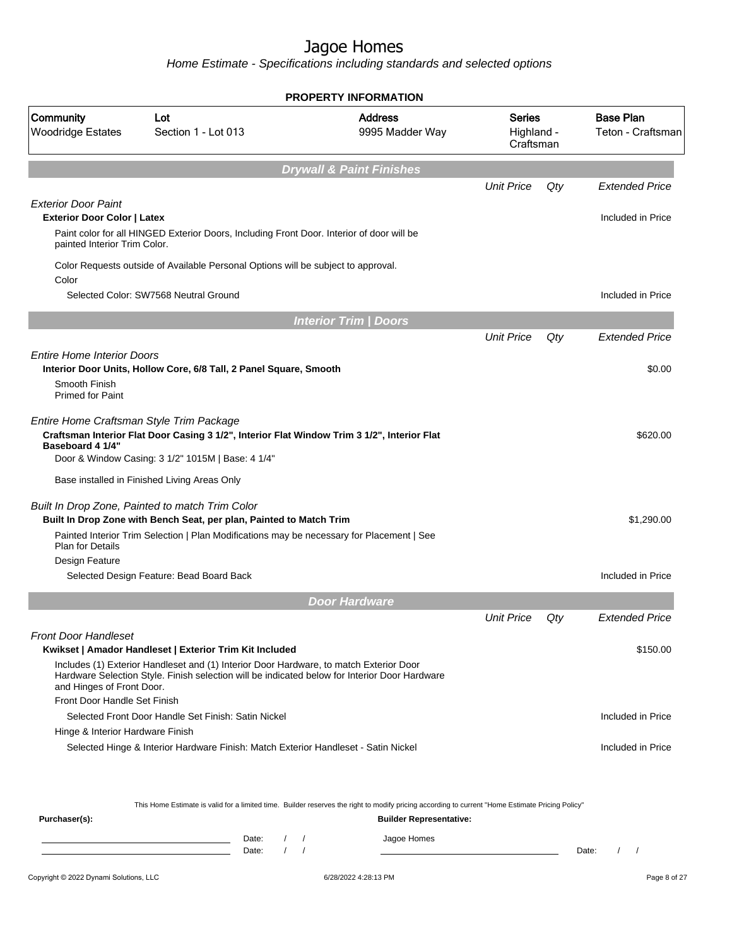Home Estimate - Specifications including standards and selected options

|                                                                  |                                                                                                                                                                                              | <b>PROPERTY INFORMATION</b>         |                                          |     |                                       |
|------------------------------------------------------------------|----------------------------------------------------------------------------------------------------------------------------------------------------------------------------------------------|-------------------------------------|------------------------------------------|-----|---------------------------------------|
| Community<br><b>Woodridge Estates</b>                            | Lot<br>Section 1 - Lot 013                                                                                                                                                                   | <b>Address</b><br>9995 Madder Way   | <b>Series</b><br>Highland -<br>Craftsman |     | <b>Base Plan</b><br>Teton - Craftsman |
|                                                                  |                                                                                                                                                                                              | <b>Drywall &amp; Paint Finishes</b> |                                          |     |                                       |
|                                                                  |                                                                                                                                                                                              |                                     | <b>Unit Price</b>                        | Qty | <b>Extended Price</b>                 |
| <b>Exterior Door Paint</b><br><b>Exterior Door Color   Latex</b> | Paint color for all HINGED Exterior Doors, Including Front Door. Interior of door will be                                                                                                    |                                     |                                          |     | Included in Price                     |
| painted Interior Trim Color.                                     |                                                                                                                                                                                              |                                     |                                          |     |                                       |
| Color                                                            | Color Requests outside of Available Personal Options will be subject to approval.                                                                                                            |                                     |                                          |     |                                       |
|                                                                  | Selected Color: SW7568 Neutral Ground                                                                                                                                                        |                                     |                                          |     | Included in Price                     |
|                                                                  |                                                                                                                                                                                              | <b>Interior Trim / Doors</b>        |                                          |     |                                       |
|                                                                  |                                                                                                                                                                                              |                                     | <b>Unit Price</b>                        | Qty | <b>Extended Price</b>                 |
| <b>Entire Home Interior Doors</b>                                | Interior Door Units, Hollow Core, 6/8 Tall, 2 Panel Square, Smooth                                                                                                                           |                                     |                                          |     | \$0.00                                |
| Smooth Finish<br><b>Primed for Paint</b>                         |                                                                                                                                                                                              |                                     |                                          |     |                                       |
| Baseboard 4 1/4"                                                 | Entire Home Craftsman Style Trim Package<br>Craftsman Interior Flat Door Casing 3 1/2", Interior Flat Window Trim 3 1/2", Interior Flat<br>Door & Window Casing: 3 1/2" 1015M   Base: 4 1/4" |                                     |                                          |     | \$620.00                              |
|                                                                  | Base installed in Finished Living Areas Only                                                                                                                                                 |                                     |                                          |     |                                       |
|                                                                  | Built In Drop Zone, Painted to match Trim Color<br>Built In Drop Zone with Bench Seat, per plan, Painted to Match Trim                                                                       |                                     |                                          |     | \$1,290.00                            |
| <b>Plan for Details</b>                                          | Painted Interior Trim Selection   Plan Modifications may be necessary for Placement   See                                                                                                    |                                     |                                          |     |                                       |
| Design Feature                                                   | Selected Design Feature: Bead Board Back                                                                                                                                                     |                                     |                                          |     | Included in Price                     |
|                                                                  |                                                                                                                                                                                              | <b>Door Hardware</b>                |                                          |     |                                       |
|                                                                  |                                                                                                                                                                                              |                                     | <b>Unit Price</b>                        | Qty | <b>Extended Price</b>                 |
| <b>Front Door Handleset</b>                                      | Kwikset   Amador Handleset   Exterior Trim Kit Included                                                                                                                                      |                                     |                                          |     | \$150.00                              |
| and Hinges of Front Door.                                        | Includes (1) Exterior Handleset and (1) Interior Door Hardware, to match Exterior Door<br>Hardware Selection Style. Finish selection will be indicated below for Interior Door Hardware      |                                     |                                          |     |                                       |
| Front Door Handle Set Finish                                     |                                                                                                                                                                                              |                                     |                                          |     |                                       |
|                                                                  | Selected Front Door Handle Set Finish: Satin Nickel                                                                                                                                          |                                     |                                          |     | Included in Price                     |
| Hinge & Interior Hardware Finish                                 |                                                                                                                                                                                              |                                     |                                          |     |                                       |
|                                                                  | Selected Hinge & Interior Hardware Finish: Match Exterior Handleset - Satin Nickel                                                                                                           |                                     |                                          |     | Included in Price                     |
|                                                                  |                                                                                                                                                                                              |                                     |                                          |     |                                       |

This Home Estimate is valid for a limited time. Builder reserves the right to modify pricing according to current "Home Estimate Pricing Policy"

| Purchaser(s): |                |  | <b>Builder Representative:</b> |       |  |
|---------------|----------------|--|--------------------------------|-------|--|
|               | Date:<br>Date: |  | Jagoe Homes                    | Date: |  |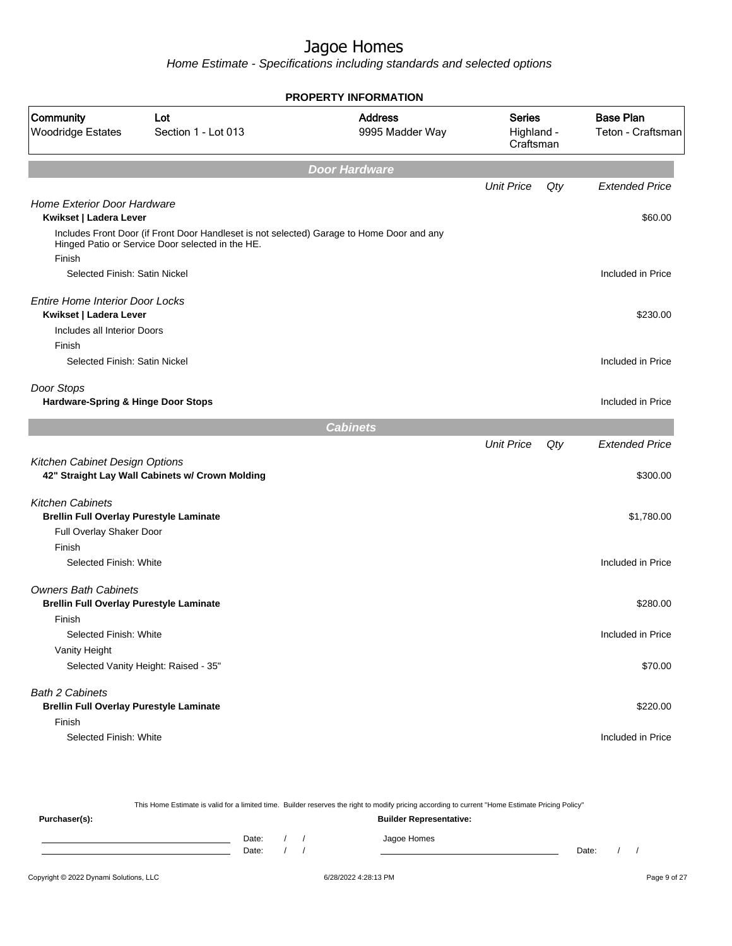| <b>PROPERTY INFORMATION</b>                                                                                                                             |                                   |                                          |     |                                                                                                                                                                               |
|---------------------------------------------------------------------------------------------------------------------------------------------------------|-----------------------------------|------------------------------------------|-----|-------------------------------------------------------------------------------------------------------------------------------------------------------------------------------|
| Community<br>Lot<br><b>Woodridge Estates</b><br>Section 1 - Lot 013                                                                                     | <b>Address</b><br>9995 Madder Way | <b>Series</b><br>Highland -<br>Craftsman |     | <b>Base Plan</b><br>Teton - Craftsman<br><b>Extended Price</b><br>\$60.00<br>Included in Price<br>\$230.00<br>Included in Price<br>Included in Price<br><b>Extended Price</b> |
| <b>Door Hardware</b>                                                                                                                                    |                                   |                                          |     |                                                                                                                                                                               |
|                                                                                                                                                         |                                   | <b>Unit Price</b>                        | Qty |                                                                                                                                                                               |
| Home Exterior Door Hardware<br>Kwikset   Ladera Lever                                                                                                   |                                   |                                          |     |                                                                                                                                                                               |
| Includes Front Door (if Front Door Handleset is not selected) Garage to Home Door and any<br>Hinged Patio or Service Door selected in the HE.<br>Finish |                                   |                                          |     |                                                                                                                                                                               |
| Selected Finish: Satin Nickel                                                                                                                           |                                   |                                          |     |                                                                                                                                                                               |
| <b>Entire Home Interior Door Locks</b><br>Kwikset   Ladera Lever                                                                                        |                                   |                                          |     |                                                                                                                                                                               |
| Includes all Interior Doors                                                                                                                             |                                   |                                          |     |                                                                                                                                                                               |
| Finish<br>Selected Finish: Satin Nickel                                                                                                                 |                                   |                                          |     |                                                                                                                                                                               |
| Door Stops<br>Hardware-Spring & Hinge Door Stops                                                                                                        |                                   |                                          |     |                                                                                                                                                                               |
| <b>Cabinets</b>                                                                                                                                         |                                   |                                          |     |                                                                                                                                                                               |
| Kitchen Cabinet Design Options<br>42" Straight Lay Wall Cabinets w/ Crown Molding                                                                       |                                   | <b>Unit Price</b>                        | Qty | \$300.00                                                                                                                                                                      |
| <b>Kitchen Cabinets</b><br><b>Brellin Full Overlay Purestyle Laminate</b>                                                                               |                                   |                                          |     | \$1,780.00                                                                                                                                                                    |
| Full Overlay Shaker Door                                                                                                                                |                                   |                                          |     |                                                                                                                                                                               |
| Finish<br>Selected Finish: White                                                                                                                        |                                   |                                          |     | Included in Price                                                                                                                                                             |
| <b>Owners Bath Cabinets</b><br><b>Brellin Full Overlay Purestyle Laminate</b>                                                                           |                                   |                                          |     | \$280.00                                                                                                                                                                      |
| Finish                                                                                                                                                  |                                   |                                          |     |                                                                                                                                                                               |
| Selected Finish: White                                                                                                                                  |                                   |                                          |     | Included in Price                                                                                                                                                             |
| Vanity Height<br>Selected Vanity Height: Raised - 35"                                                                                                   |                                   |                                          |     | \$70.00                                                                                                                                                                       |
| <b>Bath 2 Cabinets</b>                                                                                                                                  |                                   |                                          |     |                                                                                                                                                                               |
| <b>Brellin Full Overlay Purestyle Laminate</b>                                                                                                          |                                   |                                          |     | \$220.00                                                                                                                                                                      |
| Finish<br>Selected Finish: White                                                                                                                        |                                   |                                          |     | Included in Price                                                                                                                                                             |

|               |       |  | This Home Estimate is valid for a limited time. Builder reserves the right to modify pricing according to current "Home Estimate Pricing Policy" |       |  |
|---------------|-------|--|--------------------------------------------------------------------------------------------------------------------------------------------------|-------|--|
| Purchaser(s): |       |  | <b>Builder Representative:</b>                                                                                                                   |       |  |
|               | Date: |  | Jagoe Homes                                                                                                                                      |       |  |
|               | Date: |  |                                                                                                                                                  | Date: |  |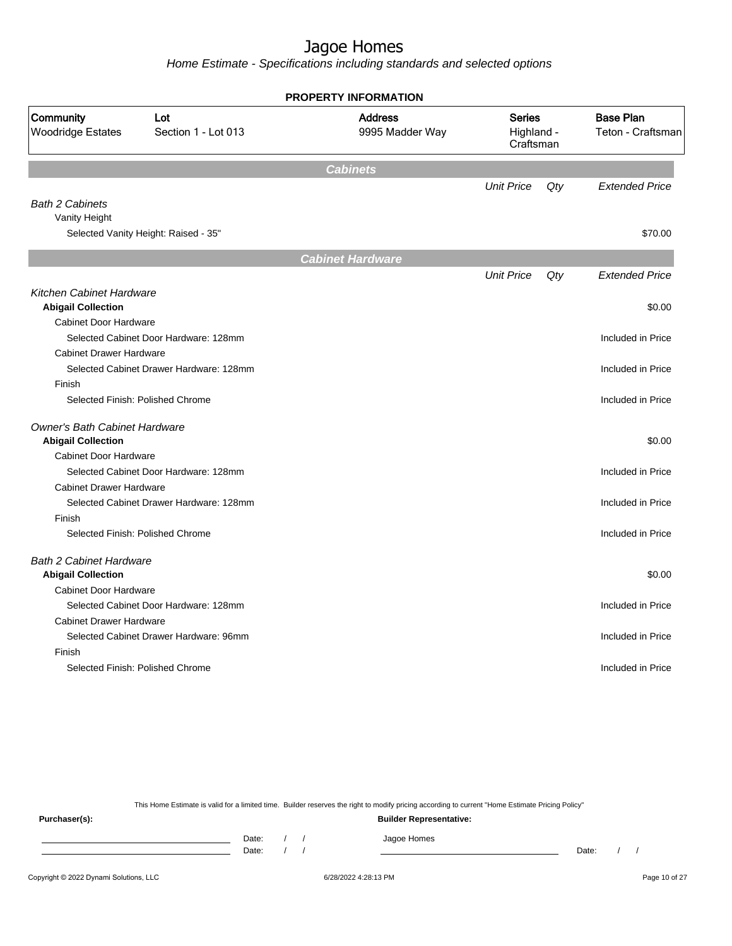Home Estimate - Specifications including standards and selected options

|                                                                     |                                         | <b>PROPERTY INFORMATION</b>       |                                          |     |                                       |
|---------------------------------------------------------------------|-----------------------------------------|-----------------------------------|------------------------------------------|-----|---------------------------------------|
| Community<br>Lot<br><b>Woodridge Estates</b><br>Section 1 - Lot 013 |                                         | <b>Address</b><br>9995 Madder Way | <b>Series</b><br>Highland -<br>Craftsman |     | <b>Base Plan</b><br>Teton - Craftsman |
|                                                                     |                                         | <b>Cabinets</b>                   |                                          |     |                                       |
|                                                                     |                                         |                                   | <b>Unit Price</b>                        | Qty | <b>Extended Price</b>                 |
| <b>Bath 2 Cabinets</b><br>Vanity Height                             |                                         |                                   |                                          |     |                                       |
|                                                                     | Selected Vanity Height: Raised - 35"    |                                   |                                          |     | \$70.00                               |
|                                                                     |                                         | <b>Cabinet Hardware</b>           |                                          |     |                                       |
|                                                                     |                                         |                                   | <b>Unit Price</b>                        | Qty | <b>Extended Price</b>                 |
| Kitchen Cabinet Hardware                                            |                                         |                                   |                                          |     |                                       |
| <b>Abigail Collection</b>                                           |                                         |                                   |                                          |     | \$0.00                                |
| <b>Cabinet Door Hardware</b>                                        |                                         |                                   |                                          |     |                                       |
|                                                                     | Selected Cabinet Door Hardware: 128mm   |                                   |                                          |     | Included in Price                     |
| <b>Cabinet Drawer Hardware</b>                                      |                                         |                                   |                                          |     |                                       |
|                                                                     | Selected Cabinet Drawer Hardware: 128mm |                                   |                                          |     | Included in Price                     |
| Finish                                                              |                                         |                                   |                                          |     |                                       |
|                                                                     | Selected Finish: Polished Chrome        |                                   |                                          |     | Included in Price                     |
| <b>Owner's Bath Cabinet Hardware</b><br><b>Abigail Collection</b>   |                                         |                                   |                                          |     | \$0.00                                |
| <b>Cabinet Door Hardware</b>                                        |                                         |                                   |                                          |     |                                       |
|                                                                     | Selected Cabinet Door Hardware: 128mm   |                                   |                                          |     | Included in Price                     |
| <b>Cabinet Drawer Hardware</b>                                      |                                         |                                   |                                          |     |                                       |
|                                                                     | Selected Cabinet Drawer Hardware: 128mm |                                   |                                          |     | Included in Price                     |
| Finish                                                              |                                         |                                   |                                          |     |                                       |
|                                                                     | Selected Finish: Polished Chrome        |                                   |                                          |     | Included in Price                     |
| <b>Bath 2 Cabinet Hardware</b><br><b>Abigail Collection</b>         |                                         |                                   |                                          |     | \$0.00                                |
| <b>Cabinet Door Hardware</b>                                        |                                         |                                   |                                          |     |                                       |
|                                                                     | Selected Cabinet Door Hardware: 128mm   |                                   |                                          |     | Included in Price                     |
| <b>Cabinet Drawer Hardware</b>                                      |                                         |                                   |                                          |     |                                       |
|                                                                     | Selected Cabinet Drawer Hardware: 96mm  |                                   |                                          |     | Included in Price                     |
| Finish                                                              |                                         |                                   |                                          |     |                                       |
|                                                                     | Selected Finish: Polished Chrome        |                                   |                                          |     | Included in Price                     |
|                                                                     |                                         |                                   |                                          |     |                                       |

This Home Estimate is valid for a limited time. Builder reserves the right to modify pricing according to current "Home Estimate Pricing Policy"

**Purchaser(s): Builder Representative:** Date: / / Jagoe Homes<br>Date: / / Jagoe Homes Date: / / Date: / /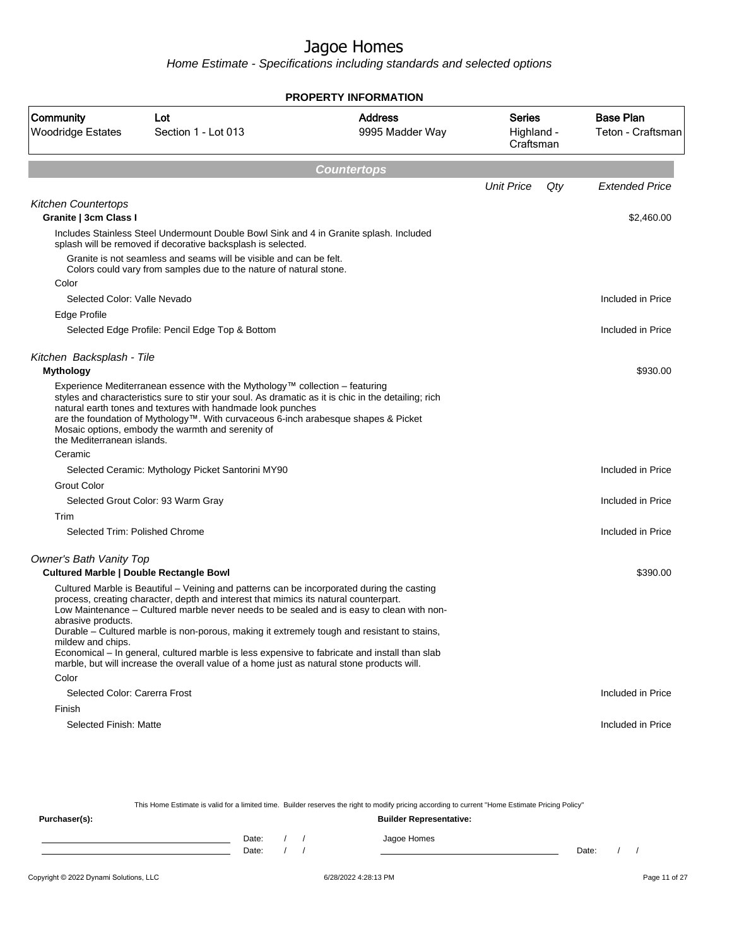Home Estimate - Specifications including standards and selected options

|                                                                           |                                                                                                                                                                                                                                                                                                                                                                                                                                                                                                                                                                               | <b>PROPERTY INFORMATION</b>       |                                   |                                       |
|---------------------------------------------------------------------------|-------------------------------------------------------------------------------------------------------------------------------------------------------------------------------------------------------------------------------------------------------------------------------------------------------------------------------------------------------------------------------------------------------------------------------------------------------------------------------------------------------------------------------------------------------------------------------|-----------------------------------|-----------------------------------|---------------------------------------|
| Community<br>Lot<br><b>Woodridge Estates</b><br>Section 1 - Lot 013       |                                                                                                                                                                                                                                                                                                                                                                                                                                                                                                                                                                               | <b>Address</b><br>9995 Madder Way | Series<br>Highland -<br>Craftsman | <b>Base Plan</b><br>Teton - Craftsman |
|                                                                           |                                                                                                                                                                                                                                                                                                                                                                                                                                                                                                                                                                               | <b>Countertops</b>                |                                   |                                       |
|                                                                           |                                                                                                                                                                                                                                                                                                                                                                                                                                                                                                                                                                               |                                   | <b>Unit Price</b>                 | Qty<br><b>Extended Price</b>          |
| <b>Kitchen Countertops</b><br>Granite   3cm Class I                       |                                                                                                                                                                                                                                                                                                                                                                                                                                                                                                                                                                               |                                   |                                   | \$2,460.00                            |
|                                                                           | Includes Stainless Steel Undermount Double Bowl Sink and 4 in Granite splash. Included<br>splash will be removed if decorative backsplash is selected.                                                                                                                                                                                                                                                                                                                                                                                                                        |                                   |                                   |                                       |
|                                                                           | Granite is not seamless and seams will be visible and can be felt.<br>Colors could vary from samples due to the nature of natural stone.                                                                                                                                                                                                                                                                                                                                                                                                                                      |                                   |                                   |                                       |
| Color                                                                     |                                                                                                                                                                                                                                                                                                                                                                                                                                                                                                                                                                               |                                   |                                   |                                       |
| Selected Color: Valle Nevado                                              |                                                                                                                                                                                                                                                                                                                                                                                                                                                                                                                                                                               |                                   |                                   | Included in Price                     |
| Edge Profile                                                              |                                                                                                                                                                                                                                                                                                                                                                                                                                                                                                                                                                               |                                   |                                   |                                       |
|                                                                           | Selected Edge Profile: Pencil Edge Top & Bottom                                                                                                                                                                                                                                                                                                                                                                                                                                                                                                                               |                                   |                                   | Included in Price                     |
| Kitchen Backsplash - Tile<br><b>Mythology</b>                             |                                                                                                                                                                                                                                                                                                                                                                                                                                                                                                                                                                               |                                   |                                   | \$930.00                              |
| the Mediterranean islands.                                                | Experience Mediterranean essence with the Mythology™ collection – featuring<br>styles and characteristics sure to stir your soul. As dramatic as it is chic in the detailing; rich<br>natural earth tones and textures with handmade look punches<br>are the foundation of Mythology™. With curvaceous 6-inch arabesque shapes & Picket<br>Mosaic options, embody the warmth and serenity of                                                                                                                                                                                  |                                   |                                   |                                       |
| Ceramic                                                                   |                                                                                                                                                                                                                                                                                                                                                                                                                                                                                                                                                                               |                                   |                                   |                                       |
|                                                                           | Selected Ceramic: Mythology Picket Santorini MY90                                                                                                                                                                                                                                                                                                                                                                                                                                                                                                                             |                                   |                                   | Included in Price                     |
| <b>Grout Color</b>                                                        |                                                                                                                                                                                                                                                                                                                                                                                                                                                                                                                                                                               |                                   |                                   |                                       |
|                                                                           | Selected Grout Color: 93 Warm Gray                                                                                                                                                                                                                                                                                                                                                                                                                                                                                                                                            |                                   |                                   | Included in Price                     |
| Trim                                                                      |                                                                                                                                                                                                                                                                                                                                                                                                                                                                                                                                                                               |                                   |                                   |                                       |
| Selected Trim: Polished Chrome                                            |                                                                                                                                                                                                                                                                                                                                                                                                                                                                                                                                                                               |                                   |                                   | Included in Price                     |
| Owner's Bath Vanity Top<br><b>Cultured Marble   Double Rectangle Bowl</b> |                                                                                                                                                                                                                                                                                                                                                                                                                                                                                                                                                                               |                                   |                                   | \$390.00                              |
| abrasive products.<br>mildew and chips.                                   | Cultured Marble is Beautiful – Veining and patterns can be incorporated during the casting<br>process, creating character, depth and interest that mimics its natural counterpart.<br>Low Maintenance - Cultured marble never needs to be sealed and is easy to clean with non-<br>Durable – Cultured marble is non-porous, making it extremely tough and resistant to stains,<br>Economical – In general, cultured marble is less expensive to fabricate and install than slab<br>marble, but will increase the overall value of a home just as natural stone products will. |                                   |                                   |                                       |
| Color                                                                     |                                                                                                                                                                                                                                                                                                                                                                                                                                                                                                                                                                               |                                   |                                   |                                       |
| Selected Color: Carerra Frost                                             |                                                                                                                                                                                                                                                                                                                                                                                                                                                                                                                                                                               |                                   |                                   | Included in Price                     |
| Finish                                                                    |                                                                                                                                                                                                                                                                                                                                                                                                                                                                                                                                                                               |                                   |                                   |                                       |
| Selected Finish: Matte                                                    |                                                                                                                                                                                                                                                                                                                                                                                                                                                                                                                                                                               |                                   |                                   | Included in Price                     |

This Home Estimate is valid for a limited time. Builder reserves the right to modify pricing according to current "Home Estimate Pricing Policy" **Purchaser(s): Builder Representative:** Date: / / Jagoe Homes<br>Date: / / Jagoe Homes Date: / / **Date: / / 2006** Date: / / / Date: / / /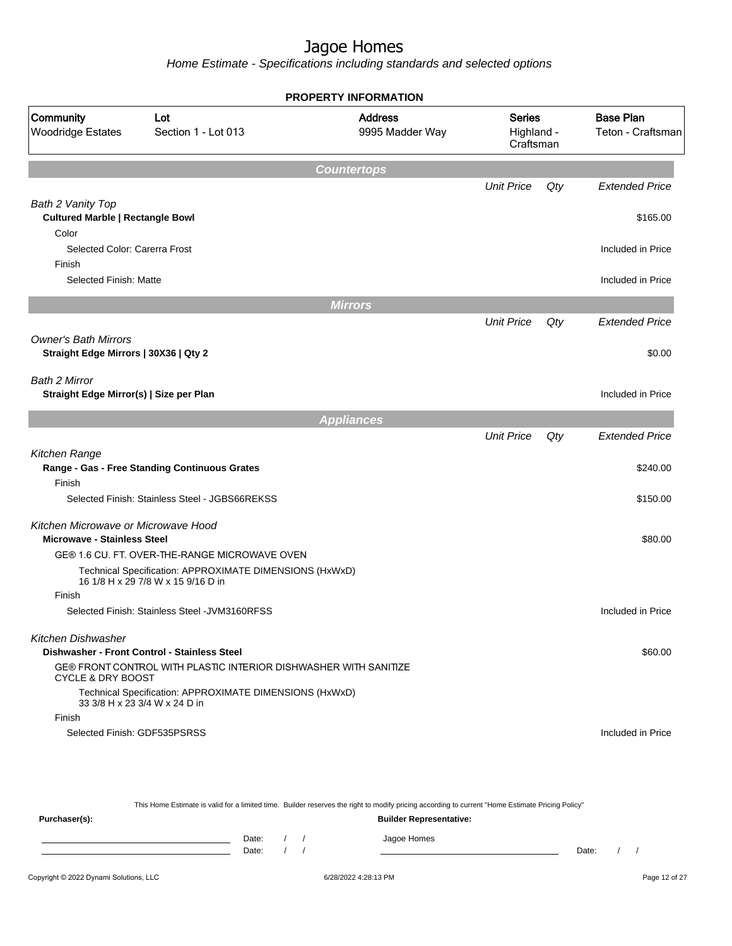|                                                                           |                                                                                               | PROPERTY INFORMATION              |                                          |     |                                       |  |
|---------------------------------------------------------------------------|-----------------------------------------------------------------------------------------------|-----------------------------------|------------------------------------------|-----|---------------------------------------|--|
| Community<br>Lot<br><b>Woodridge Estates</b><br>Section 1 - Lot 013       |                                                                                               | <b>Address</b><br>9995 Madder Way | <b>Series</b><br>Highland -<br>Craftsman |     | <b>Base Plan</b><br>Teton - Craftsman |  |
|                                                                           |                                                                                               | <b>Countertops</b>                |                                          |     |                                       |  |
|                                                                           |                                                                                               |                                   | <b>Unit Price</b>                        | Qty | <b>Extended Price</b>                 |  |
| Bath 2 Vanity Top<br><b>Cultured Marble   Rectangle Bowl</b><br>Color     |                                                                                               |                                   |                                          |     | \$165.00                              |  |
| Selected Color: Carerra Frost<br>Finish                                   |                                                                                               |                                   |                                          |     | Included in Price                     |  |
| Selected Finish: Matte                                                    |                                                                                               |                                   |                                          |     | Included in Price                     |  |
|                                                                           |                                                                                               | <b>Mirrors</b>                    |                                          |     |                                       |  |
|                                                                           |                                                                                               |                                   | <b>Unit Price</b>                        | Qty | <b>Extended Price</b>                 |  |
| <b>Owner's Bath Mirrors</b><br>Straight Edge Mirrors   30X36   Qty 2      |                                                                                               |                                   |                                          |     | \$0.00                                |  |
| Bath 2 Mirror<br>Straight Edge Mirror(s)   Size per Plan                  |                                                                                               |                                   |                                          |     | Included in Price                     |  |
|                                                                           |                                                                                               | <b>Appliances</b>                 |                                          |     |                                       |  |
|                                                                           |                                                                                               |                                   | <b>Unit Price</b>                        | Qty | <b>Extended Price</b>                 |  |
| Kitchen Range                                                             | Range - Gas - Free Standing Continuous Grates                                                 |                                   |                                          |     | \$240.00                              |  |
| Finish                                                                    | Selected Finish: Stainless Steel - JGBS66REKSS                                                |                                   |                                          |     | \$150.00                              |  |
|                                                                           |                                                                                               |                                   |                                          |     |                                       |  |
| Kitchen Microwave or Microwave Hood<br><b>Microwave - Stainless Steel</b> |                                                                                               |                                   |                                          |     | \$80.00                               |  |
|                                                                           | GE® 1.6 CU. FT. OVER-THE-RANGE MICROWAVE OVEN                                                 |                                   |                                          |     |                                       |  |
|                                                                           | Technical Specification: APPROXIMATE DIMENSIONS (HxWxD)<br>16 1/8 H x 29 7/8 W x 15 9/16 D in |                                   |                                          |     |                                       |  |
| Finish                                                                    |                                                                                               |                                   |                                          |     |                                       |  |
|                                                                           | Selected Finish: Stainless Steel -JVM3160RFSS                                                 |                                   |                                          |     | Included in Price                     |  |
| Kitchen Dishwasher                                                        | Dishwasher - Front Control - Stainless Steel                                                  |                                   |                                          |     | \$60.00                               |  |
| <b>CYCLE &amp; DRY BOOST</b>                                              | GE® FRONT CONTROL WITH PLASTIC INTERIOR DISHWASHER WITH SANITIZE                              |                                   |                                          |     |                                       |  |
|                                                                           | Technical Specification: APPROXIMATE DIMENSIONS (HxWxD)<br>33 3/8 H x 23 3/4 W x 24 D in      |                                   |                                          |     |                                       |  |
| Finish                                                                    |                                                                                               |                                   |                                          |     |                                       |  |
|                                                                           | Selected Finish: GDF535PSRSS                                                                  |                                   |                                          |     | Included in Price                     |  |
|                                                                           |                                                                                               |                                   |                                          |     |                                       |  |

|               |       |  | This Home Estimate is valid for a limited time. Builder reserves the right to modify pricing according to current "Home Estimate Pricing Policy" |       |  |
|---------------|-------|--|--------------------------------------------------------------------------------------------------------------------------------------------------|-------|--|
| Purchaser(s): |       |  | <b>Builder Representative:</b>                                                                                                                   |       |  |
|               | Date: |  | Jagoe Homes                                                                                                                                      |       |  |
|               | Date: |  |                                                                                                                                                  | Date: |  |
|               |       |  |                                                                                                                                                  |       |  |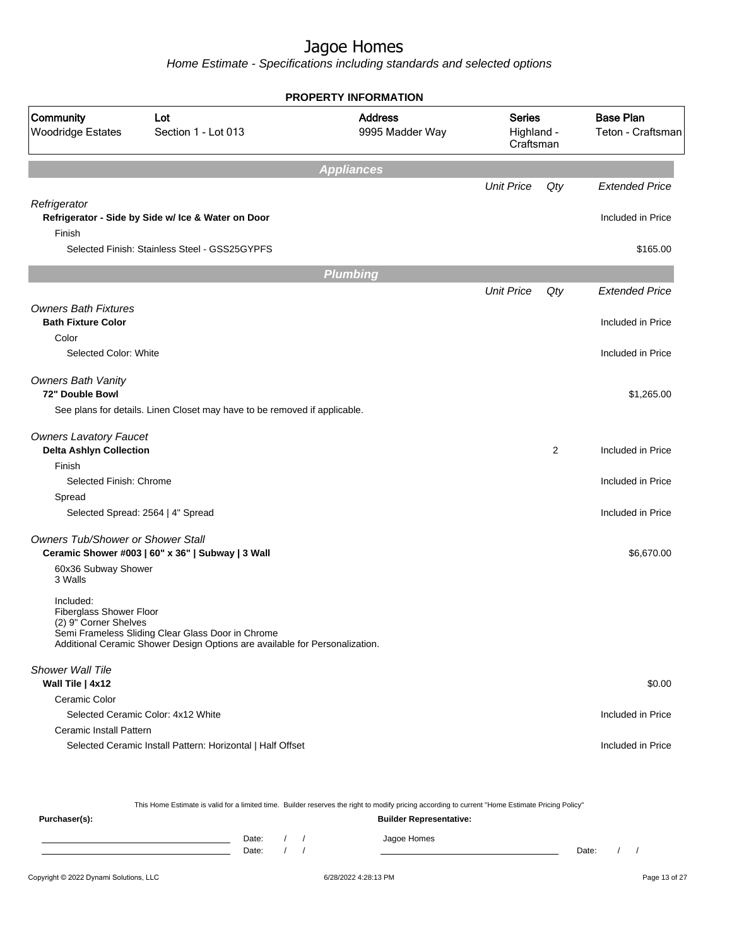Home Estimate - Specifications including standards and selected options

|                                                               |                                                                                                                                  | <b>PROPERTY INFORMATION</b>       |                                          |     |                                                                                                                                               |
|---------------------------------------------------------------|----------------------------------------------------------------------------------------------------------------------------------|-----------------------------------|------------------------------------------|-----|-----------------------------------------------------------------------------------------------------------------------------------------------|
| Community<br><b>Woodridge Estates</b>                         | Lot<br>Section 1 - Lot 013                                                                                                       | <b>Address</b><br>9995 Madder Way | <b>Series</b><br>Highland -<br>Craftsman |     | <b>Base Plan</b><br>Teton - Craftsman<br><b>Extended Price</b><br>Included in Price<br>\$165.00<br><b>Extended Price</b><br>Included in Price |
|                                                               |                                                                                                                                  | <b>Appliances</b>                 |                                          |     |                                                                                                                                               |
|                                                               |                                                                                                                                  |                                   | <b>Unit Price</b>                        | Qty |                                                                                                                                               |
| Refrigerator<br>Finish                                        | Refrigerator - Side by Side w/ Ice & Water on Door                                                                               |                                   |                                          |     |                                                                                                                                               |
|                                                               | Selected Finish: Stainless Steel - GSS25GYPFS                                                                                    |                                   |                                          |     |                                                                                                                                               |
|                                                               |                                                                                                                                  | <b>Plumbing</b>                   |                                          |     |                                                                                                                                               |
|                                                               |                                                                                                                                  |                                   | <b>Unit Price</b>                        | Qty |                                                                                                                                               |
| <b>Owners Bath Fixtures</b>                                   |                                                                                                                                  |                                   |                                          |     |                                                                                                                                               |
| <b>Bath Fixture Color</b>                                     |                                                                                                                                  |                                   |                                          |     |                                                                                                                                               |
| Color                                                         |                                                                                                                                  |                                   |                                          |     |                                                                                                                                               |
| Selected Color: White                                         |                                                                                                                                  |                                   |                                          |     | Included in Price                                                                                                                             |
| <b>Owners Bath Vanity</b><br>72" Double Bowl                  |                                                                                                                                  |                                   |                                          |     | \$1,265.00                                                                                                                                    |
|                                                               | See plans for details. Linen Closet may have to be removed if applicable.                                                        |                                   |                                          |     |                                                                                                                                               |
| <b>Owners Lavatory Faucet</b>                                 |                                                                                                                                  |                                   |                                          |     |                                                                                                                                               |
| <b>Delta Ashlyn Collection</b>                                |                                                                                                                                  |                                   |                                          | 2   | Included in Price                                                                                                                             |
| Finish                                                        |                                                                                                                                  |                                   |                                          |     |                                                                                                                                               |
| Selected Finish: Chrome                                       |                                                                                                                                  |                                   |                                          |     | Included in Price                                                                                                                             |
| Spread                                                        |                                                                                                                                  |                                   |                                          |     |                                                                                                                                               |
|                                                               | Selected Spread: 2564   4" Spread                                                                                                |                                   |                                          |     | Included in Price                                                                                                                             |
| Owners Tub/Shower or Shower Stall                             | Ceramic Shower #003   60" x 36"   Subway   3 Wall                                                                                |                                   |                                          |     | \$6,670.00                                                                                                                                    |
| 60x36 Subway Shower<br>3 Walls                                |                                                                                                                                  |                                   |                                          |     |                                                                                                                                               |
| Included:<br>Fiberglass Shower Floor<br>(2) 9" Corner Shelves | Semi Frameless Sliding Clear Glass Door in Chrome<br>Additional Ceramic Shower Design Options are available for Personalization. |                                   |                                          |     |                                                                                                                                               |
| Shower Wall Tile                                              |                                                                                                                                  |                                   |                                          |     |                                                                                                                                               |
| Wall Tile   4x12                                              |                                                                                                                                  |                                   |                                          |     | \$0.00                                                                                                                                        |
| Ceramic Color                                                 |                                                                                                                                  |                                   |                                          |     |                                                                                                                                               |
|                                                               | Selected Ceramic Color: 4x12 White                                                                                               |                                   |                                          |     | Included in Price                                                                                                                             |
| Ceramic Install Pattern                                       |                                                                                                                                  |                                   |                                          |     |                                                                                                                                               |
|                                                               | Selected Ceramic Install Pattern: Horizontal   Half Offset                                                                       |                                   |                                          |     | Included in Price                                                                                                                             |
|                                                               |                                                                                                                                  |                                   |                                          |     |                                                                                                                                               |

This Home Estimate is valid for a limited time. Builder reserves the right to modify pricing according to current "Home Estimate Pricing Policy"

**Purchaser(s): Builder Representative:** Date: / / Jagoe Homes<br>Date: / / Jagoe Homes Date: / / Date: / /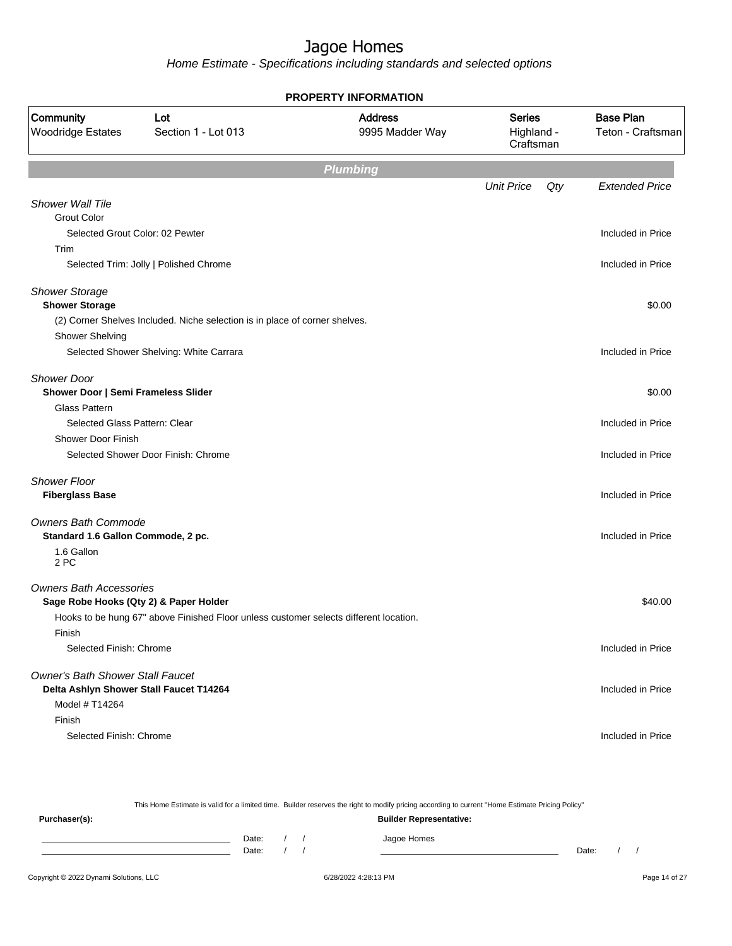Home Estimate - Specifications including standards and selected options

|                                                                     |                                                                                       | <b>PROPERTY INFORMATION</b>       |                                          |     |                                       |
|---------------------------------------------------------------------|---------------------------------------------------------------------------------------|-----------------------------------|------------------------------------------|-----|---------------------------------------|
| Community<br>Lot<br><b>Woodridge Estates</b><br>Section 1 - Lot 013 |                                                                                       | <b>Address</b><br>9995 Madder Way | <b>Series</b><br>Highland -<br>Craftsman |     | <b>Base Plan</b><br>Teton - Craftsman |
|                                                                     |                                                                                       | <b>Plumbing</b>                   |                                          |     |                                       |
|                                                                     |                                                                                       |                                   | <b>Unit Price</b>                        | Qty | <b>Extended Price</b>                 |
| <b>Shower Wall Tile</b>                                             |                                                                                       |                                   |                                          |     |                                       |
| <b>Grout Color</b>                                                  | Selected Grout Color: 02 Pewter                                                       |                                   |                                          |     | Included in Price                     |
| Trim                                                                |                                                                                       |                                   |                                          |     |                                       |
|                                                                     | Selected Trim: Jolly   Polished Chrome                                                |                                   |                                          |     | Included in Price                     |
| <b>Shower Storage</b>                                               |                                                                                       |                                   |                                          |     |                                       |
| <b>Shower Storage</b>                                               |                                                                                       |                                   |                                          |     | \$0.00                                |
|                                                                     | (2) Corner Shelves Included. Niche selection is in place of corner shelves.           |                                   |                                          |     |                                       |
| Shower Shelving                                                     |                                                                                       |                                   |                                          |     |                                       |
|                                                                     | Selected Shower Shelving: White Carrara                                               |                                   |                                          |     | Included in Price                     |
| <b>Shower Door</b>                                                  |                                                                                       |                                   |                                          |     |                                       |
| Shower Door   Semi Frameless Slider<br><b>Glass Pattern</b>         |                                                                                       |                                   |                                          |     | \$0.00                                |
| Selected Glass Pattern: Clear                                       |                                                                                       |                                   |                                          |     | Included in Price                     |
| <b>Shower Door Finish</b>                                           |                                                                                       |                                   |                                          |     |                                       |
|                                                                     | Selected Shower Door Finish: Chrome                                                   |                                   |                                          |     | Included in Price                     |
| <b>Shower Floor</b><br><b>Fiberglass Base</b>                       |                                                                                       |                                   |                                          |     | Included in Price                     |
| <b>Owners Bath Commode</b>                                          |                                                                                       |                                   |                                          |     |                                       |
| Standard 1.6 Gallon Commode, 2 pc.                                  |                                                                                       |                                   |                                          |     | Included in Price                     |
| 1.6 Gallon<br>2 PC                                                  |                                                                                       |                                   |                                          |     |                                       |
| <b>Owners Bath Accessories</b>                                      |                                                                                       |                                   |                                          |     |                                       |
|                                                                     | Sage Robe Hooks (Qty 2) & Paper Holder                                                |                                   |                                          |     | \$40.00                               |
|                                                                     | Hooks to be hung 67" above Finished Floor unless customer selects different location. |                                   |                                          |     |                                       |
| Finish                                                              |                                                                                       |                                   |                                          |     |                                       |
| Selected Finish: Chrome                                             |                                                                                       |                                   |                                          |     | Included in Price                     |
| <b>Owner's Bath Shower Stall Faucet</b>                             |                                                                                       |                                   |                                          |     |                                       |
|                                                                     | Delta Ashlyn Shower Stall Faucet T14264                                               |                                   |                                          |     | Included in Price                     |
| Model # T14264                                                      |                                                                                       |                                   |                                          |     |                                       |
| Finish                                                              |                                                                                       |                                   |                                          |     |                                       |
| Selected Finish: Chrome                                             |                                                                                       |                                   |                                          |     | Included in Price                     |

This Home Estimate is valid for a limited time. Builder reserves the right to modify pricing according to current "Home Estimate Pricing Policy" **Purchaser(s): Builder Representative:** Date: / / Jagoe Homes<br>Date: / / Jagoe Homes Date: / / **Date: / / 2006** Date: / / / Date: / / /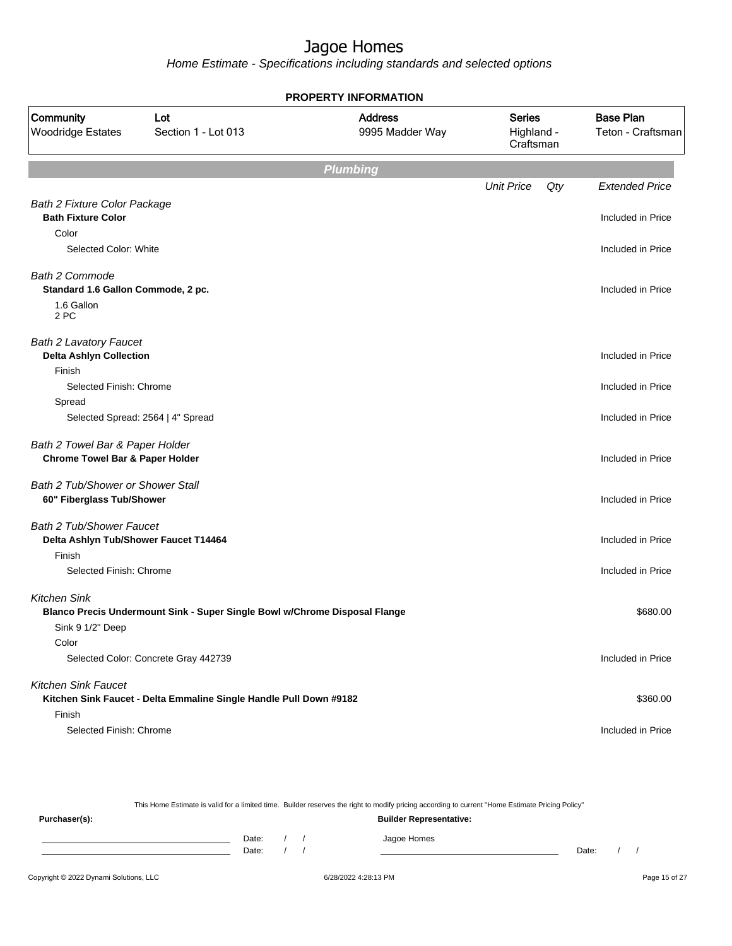|                                                                 |                                                                            | <b>PROPERTY INFORMATION</b>       |                                          |     |                                       |
|-----------------------------------------------------------------|----------------------------------------------------------------------------|-----------------------------------|------------------------------------------|-----|---------------------------------------|
| Community<br><b>Woodridge Estates</b>                           | Lot<br>Section 1 - Lot 013                                                 | <b>Address</b><br>9995 Madder Way | <b>Series</b><br>Highland -<br>Craftsman |     | <b>Base Plan</b><br>Teton - Craftsman |
|                                                                 |                                                                            | <b>Plumbing</b>                   |                                          |     |                                       |
|                                                                 |                                                                            |                                   | <b>Unit Price</b>                        | Qty | <b>Extended Price</b>                 |
| <b>Bath 2 Fixture Color Package</b>                             |                                                                            |                                   |                                          |     |                                       |
| <b>Bath Fixture Color</b>                                       |                                                                            |                                   |                                          |     | Included in Price                     |
| Color                                                           |                                                                            |                                   |                                          |     |                                       |
| Selected Color: White                                           |                                                                            |                                   |                                          |     | Included in Price                     |
| <b>Bath 2 Commode</b><br>Standard 1.6 Gallon Commode, 2 pc.     |                                                                            |                                   |                                          |     | Included in Price                     |
| 1.6 Gallon<br>2 PC                                              |                                                                            |                                   |                                          |     |                                       |
| <b>Bath 2 Lavatory Faucet</b><br><b>Delta Ashlyn Collection</b> |                                                                            |                                   |                                          |     | Included in Price                     |
| Finish                                                          |                                                                            |                                   |                                          |     |                                       |
| Selected Finish: Chrome                                         |                                                                            |                                   |                                          |     | Included in Price                     |
| Spread                                                          |                                                                            |                                   |                                          |     |                                       |
|                                                                 | Selected Spread: 2564   4" Spread                                          |                                   |                                          |     | Included in Price                     |
| Bath 2 Towel Bar & Paper Holder                                 |                                                                            |                                   |                                          |     |                                       |
| <b>Chrome Towel Bar &amp; Paper Holder</b>                      |                                                                            |                                   |                                          |     | Included in Price                     |
| Bath 2 Tub/Shower or Shower Stall                               |                                                                            |                                   |                                          |     |                                       |
| 60" Fiberglass Tub/Shower                                       |                                                                            |                                   |                                          |     | Included in Price                     |
| <b>Bath 2 Tub/Shower Faucet</b>                                 |                                                                            |                                   |                                          |     |                                       |
| Delta Ashlyn Tub/Shower Faucet T14464                           |                                                                            |                                   |                                          |     | Included in Price                     |
| Finish                                                          |                                                                            |                                   |                                          |     |                                       |
| Selected Finish: Chrome                                         |                                                                            |                                   |                                          |     | Included in Price                     |
| Kitchen Sink                                                    |                                                                            |                                   |                                          |     |                                       |
|                                                                 | Blanco Precis Undermount Sink - Super Single Bowl w/Chrome Disposal Flange |                                   |                                          |     | \$680.00                              |
| Sink 9 1/2" Deep                                                |                                                                            |                                   |                                          |     |                                       |
| Color                                                           |                                                                            |                                   |                                          |     |                                       |
|                                                                 | Selected Color: Concrete Gray 442739                                       |                                   |                                          |     | Included in Price                     |
| <b>Kitchen Sink Faucet</b>                                      |                                                                            |                                   |                                          |     |                                       |
|                                                                 | Kitchen Sink Faucet - Delta Emmaline Single Handle Pull Down #9182         |                                   |                                          |     | \$360.00                              |
| Finish                                                          |                                                                            |                                   |                                          |     |                                       |
| Selected Finish: Chrome                                         |                                                                            |                                   |                                          |     | Included in Price                     |

|               |       |  | This Home Estimate is valid for a limited time. Builder reserves the right to modify pricing according to current "Home Estimate Pricing Policy" |       |  |
|---------------|-------|--|--------------------------------------------------------------------------------------------------------------------------------------------------|-------|--|
| Purchaser(s): |       |  | <b>Builder Representative:</b>                                                                                                                   |       |  |
|               | Date: |  | Jagoe Homes                                                                                                                                      |       |  |
|               | Date: |  |                                                                                                                                                  | Date: |  |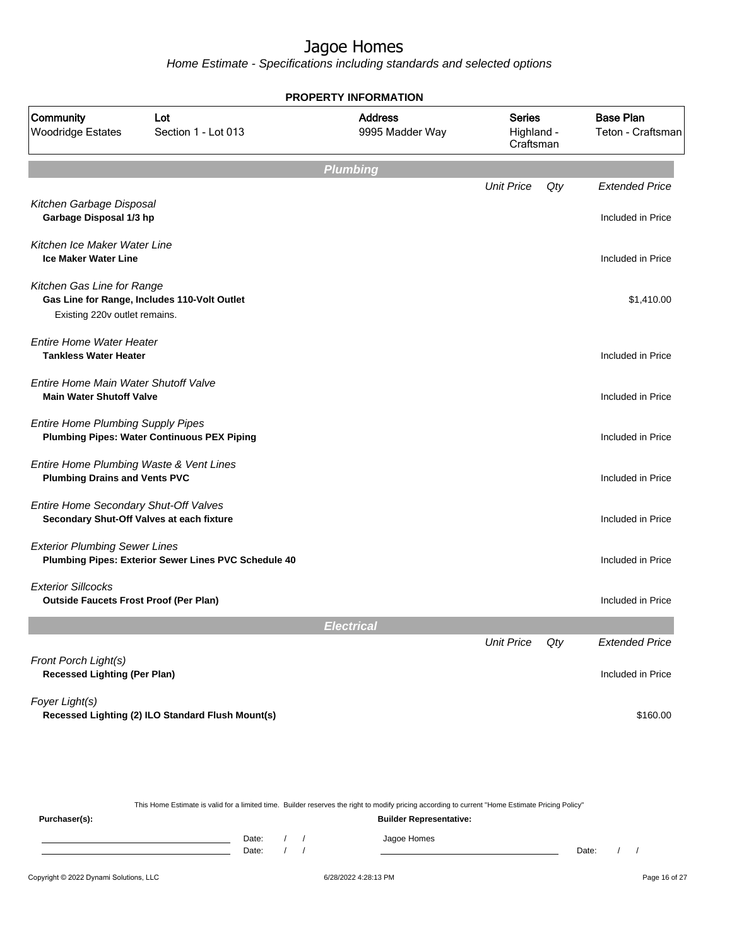|                                                                                 |                                                      | <b>PROPERTY INFORMATION</b>       |                                          |     |                                            |
|---------------------------------------------------------------------------------|------------------------------------------------------|-----------------------------------|------------------------------------------|-----|--------------------------------------------|
| Community<br><b>Woodridge Estates</b>                                           | Lot<br>Section 1 - Lot 013                           | <b>Address</b><br>9995 Madder Way | <b>Series</b><br>Highland -<br>Craftsman |     | <b>Base Plan</b><br>Teton - Craftsman      |
|                                                                                 |                                                      | <b>Plumbing</b>                   |                                          |     |                                            |
|                                                                                 |                                                      |                                   | <b>Unit Price</b>                        | Qty | <b>Extended Price</b>                      |
| Kitchen Garbage Disposal<br>Garbage Disposal 1/3 hp                             |                                                      |                                   |                                          |     | Included in Price                          |
| Kitchen Ice Maker Water Line<br><b>Ice Maker Water Line</b>                     |                                                      |                                   |                                          |     | Included in Price                          |
| Kitchen Gas Line for Range<br>Existing 220v outlet remains.                     | Gas Line for Range, Includes 110-Volt Outlet         |                                   |                                          |     | \$1,410.00                                 |
| <b>Entire Home Water Heater</b><br><b>Tankless Water Heater</b>                 |                                                      |                                   |                                          |     | Included in Price                          |
| Entire Home Main Water Shutoff Valve<br><b>Main Water Shutoff Valve</b>         |                                                      |                                   |                                          |     | Included in Price                          |
| <b>Entire Home Plumbing Supply Pipes</b>                                        | <b>Plumbing Pipes: Water Continuous PEX Piping</b>   |                                   |                                          |     | Included in Price                          |
| Entire Home Plumbing Waste & Vent Lines<br><b>Plumbing Drains and Vents PVC</b> |                                                      |                                   |                                          |     | Included in Price                          |
| Entire Home Secondary Shut-Off Valves                                           | Secondary Shut-Off Valves at each fixture            |                                   |                                          |     | Included in Price                          |
| <b>Exterior Plumbing Sewer Lines</b>                                            | Plumbing Pipes: Exterior Sewer Lines PVC Schedule 40 |                                   |                                          |     | Included in Price                          |
| <b>Exterior Sillcocks</b><br><b>Outside Faucets Frost Proof (Per Plan)</b>      |                                                      |                                   |                                          |     | Included in Price                          |
|                                                                                 |                                                      | Electrical                        |                                          |     |                                            |
| Front Porch Light(s)<br><b>Recessed Lighting (Per Plan)</b>                     |                                                      |                                   | <b>Unit Price</b>                        | Qty | <b>Extended Price</b><br>Included in Price |
| Foyer Light(s)                                                                  | Recessed Lighting (2) ILO Standard Flush Mount(s)    |                                   |                                          |     | \$160.00                                   |
|                                                                                 |                                                      |                                   |                                          |     |                                            |

|                                                 |  |       |  |  | This Home Estimate is valid for a limited time. Builder reserves the right to modify pricing according to current "Home Estimate Pricing Policy" |       |  |
|-------------------------------------------------|--|-------|--|--|--------------------------------------------------------------------------------------------------------------------------------------------------|-------|--|
| <b>Builder Representative:</b><br>Purchaser(s): |  |       |  |  |                                                                                                                                                  |       |  |
|                                                 |  | Date: |  |  | Jagoe Homes                                                                                                                                      |       |  |
|                                                 |  | Date: |  |  |                                                                                                                                                  | Date: |  |
|                                                 |  |       |  |  |                                                                                                                                                  |       |  |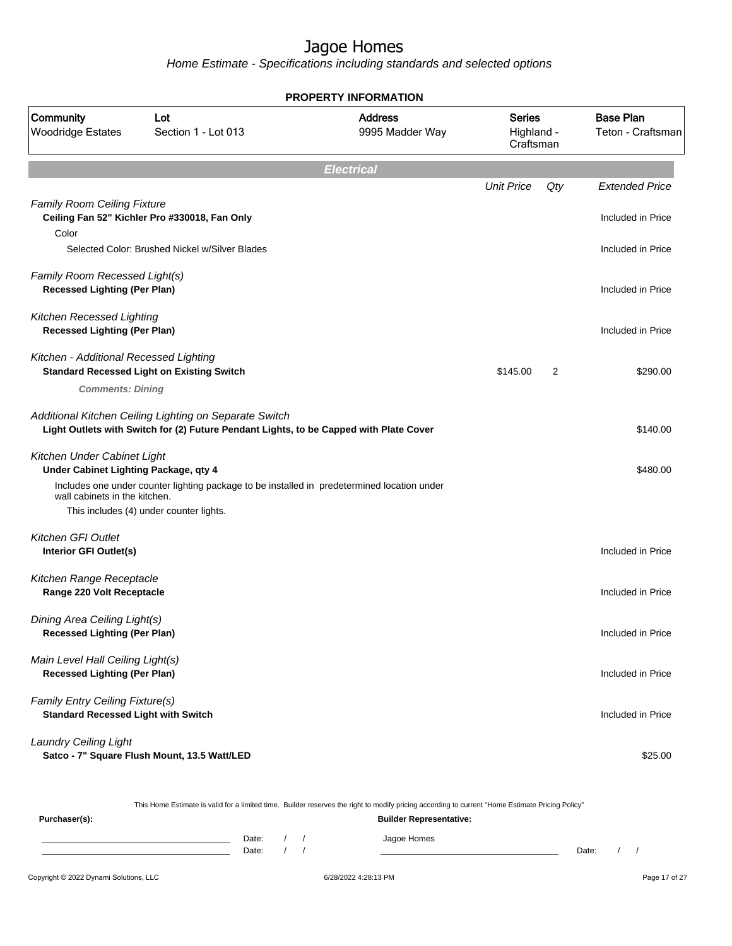Home Estimate - Specifications including standards and selected options

|                                                                               |                                                                                                                                                  | <b>PROPERTY INFORMATION</b>       |                                          |     |                                       |
|-------------------------------------------------------------------------------|--------------------------------------------------------------------------------------------------------------------------------------------------|-----------------------------------|------------------------------------------|-----|---------------------------------------|
| Community<br><b>Woodridge Estates</b>                                         | Lot<br>Section 1 - Lot 013                                                                                                                       | <b>Address</b><br>9995 Madder Way | <b>Series</b><br>Highland -<br>Craftsman |     | <b>Base Plan</b><br>Teton - Craftsman |
|                                                                               |                                                                                                                                                  | <b>Electrical</b>                 |                                          |     |                                       |
|                                                                               |                                                                                                                                                  |                                   | <b>Unit Price</b>                        | Qty | <b>Extended Price</b>                 |
| <b>Family Room Ceiling Fixture</b><br>Color                                   | Ceiling Fan 52" Kichler Pro #330018, Fan Only                                                                                                    |                                   |                                          |     | Included in Price                     |
|                                                                               | Selected Color: Brushed Nickel w/Silver Blades                                                                                                   |                                   |                                          |     | Included in Price                     |
| Family Room Recessed Light(s)<br><b>Recessed Lighting (Per Plan)</b>          |                                                                                                                                                  |                                   |                                          |     | Included in Price                     |
| Kitchen Recessed Lighting<br><b>Recessed Lighting (Per Plan)</b>              |                                                                                                                                                  |                                   |                                          |     | Included in Price                     |
| Kitchen - Additional Recessed Lighting                                        | <b>Standard Recessed Light on Existing Switch</b>                                                                                                |                                   | \$145.00                                 | 2   | \$290.00                              |
| <b>Comments: Dining</b>                                                       |                                                                                                                                                  |                                   |                                          |     |                                       |
|                                                                               | Additional Kitchen Ceiling Lighting on Separate Switch<br>Light Outlets with Switch for (2) Future Pendant Lights, to be Capped with Plate Cover |                                   |                                          |     | \$140.00                              |
| Kitchen Under Cabinet Light<br>Under Cabinet Lighting Package, qty 4          |                                                                                                                                                  |                                   |                                          |     | \$480.00                              |
| wall cabinets in the kitchen.                                                 | Includes one under counter lighting package to be installed in predetermined location under<br>This includes (4) under counter lights.           |                                   |                                          |     |                                       |
| <b>Kitchen GFI Outlet</b>                                                     |                                                                                                                                                  |                                   |                                          |     |                                       |
| Interior GFI Outlet(s)                                                        |                                                                                                                                                  |                                   |                                          |     | Included in Price                     |
| Kitchen Range Receptacle<br>Range 220 Volt Receptacle                         |                                                                                                                                                  |                                   |                                          |     | Included in Price                     |
| Dining Area Ceiling Light(s)<br><b>Recessed Lighting (Per Plan)</b>           |                                                                                                                                                  |                                   |                                          |     | Included in Price                     |
| Main Level Hall Ceiling Light(s)<br><b>Recessed Lighting (Per Plan)</b>       |                                                                                                                                                  |                                   |                                          |     | Included in Price                     |
| Family Entry Ceiling Fixture(s)<br><b>Standard Recessed Light with Switch</b> |                                                                                                                                                  |                                   |                                          |     | Included in Price                     |
| <b>Laundry Ceiling Light</b>                                                  | Satco - 7" Square Flush Mount, 13.5 Watt/LED                                                                                                     |                                   |                                          |     | \$25.00                               |

This Home Estimate is valid for a limited time. Builder reserves the right to modify pricing according to current "Home Estimate Pricing Policy"

| Purchaser(s): |                |  | <b>Builder Representative:</b> |       |  |
|---------------|----------------|--|--------------------------------|-------|--|
|               | Date:<br>Date: |  | Jagoe Homes                    | Date: |  |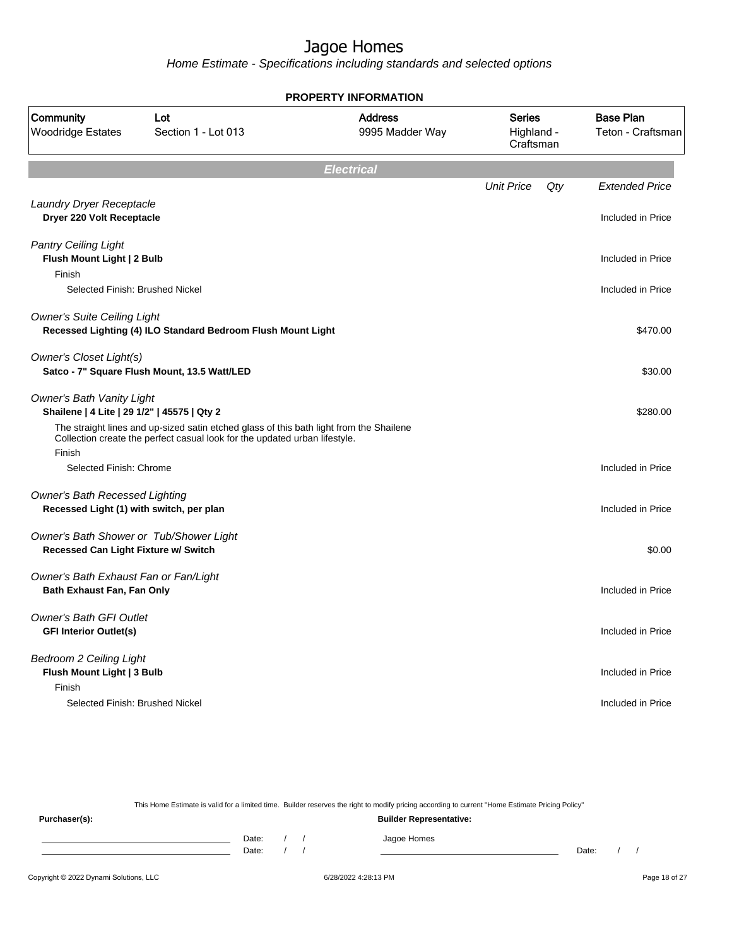Home Estimate - Specifications including standards and selected options

|                                                                                   |                                                                                                                                                                       | <b>PROPERTY INFORMATION</b>       |                                          |     |                                       |
|-----------------------------------------------------------------------------------|-----------------------------------------------------------------------------------------------------------------------------------------------------------------------|-----------------------------------|------------------------------------------|-----|---------------------------------------|
| Community<br><b>Woodridge Estates</b>                                             | Lot<br>Section 1 - Lot 013                                                                                                                                            | <b>Address</b><br>9995 Madder Way | <b>Series</b><br>Highland -<br>Craftsman |     | <b>Base Plan</b><br>Teton - Craftsman |
|                                                                                   |                                                                                                                                                                       | <b>Electrical</b>                 |                                          |     |                                       |
|                                                                                   |                                                                                                                                                                       |                                   | <b>Unit Price</b>                        | Qty | <b>Extended Price</b>                 |
| Laundry Dryer Receptacle<br>Dryer 220 Volt Receptacle                             |                                                                                                                                                                       |                                   |                                          |     | Included in Price                     |
| <b>Pantry Ceiling Light</b><br>Flush Mount Light   2 Bulb                         |                                                                                                                                                                       |                                   |                                          |     | Included in Price                     |
| Finish                                                                            |                                                                                                                                                                       |                                   |                                          |     |                                       |
| Selected Finish: Brushed Nickel                                                   |                                                                                                                                                                       |                                   |                                          |     | Included in Price                     |
| <b>Owner's Suite Ceiling Light</b>                                                | Recessed Lighting (4) ILO Standard Bedroom Flush Mount Light                                                                                                          |                                   |                                          |     | \$470.00                              |
| <b>Owner's Closet Light(s)</b>                                                    | Satco - 7" Square Flush Mount, 13.5 Watt/LED                                                                                                                          |                                   |                                          |     | \$30.00                               |
| <b>Owner's Bath Vanity Light</b><br>Shailene   4 Lite   29 1/2"   45575   Qty 2   |                                                                                                                                                                       |                                   |                                          |     | \$280.00                              |
| Finish                                                                            | The straight lines and up-sized satin etched glass of this bath light from the Shailene<br>Collection create the perfect casual look for the updated urban lifestyle. |                                   |                                          |     |                                       |
| Selected Finish: Chrome                                                           |                                                                                                                                                                       |                                   |                                          |     | Included in Price                     |
| <b>Owner's Bath Recessed Lighting</b><br>Recessed Light (1) with switch, per plan |                                                                                                                                                                       |                                   |                                          |     | Included in Price                     |
| Owner's Bath Shower or Tub/Shower Light<br>Recessed Can Light Fixture w/ Switch   |                                                                                                                                                                       |                                   |                                          |     | \$0.00                                |
| Owner's Bath Exhaust Fan or Fan/Light<br>Bath Exhaust Fan, Fan Only               |                                                                                                                                                                       |                                   |                                          |     | Included in Price                     |
| <b>Owner's Bath GFI Outlet</b><br><b>GFI Interior Outlet(s)</b>                   |                                                                                                                                                                       |                                   |                                          |     | Included in Price                     |
| <b>Bedroom 2 Ceiling Light</b><br>Flush Mount Light   3 Bulb                      |                                                                                                                                                                       |                                   |                                          |     | Included in Price                     |
| Finish<br>Selected Finish: Brushed Nickel                                         |                                                                                                                                                                       |                                   |                                          |     | Included in Price                     |

This Home Estimate is valid for a limited time. Builder reserves the right to modify pricing according to current "Home Estimate Pricing Policy" **Purchaser(s): Builder Representative:** Date: / / Jagoe Homes<br>Date: / / Jagoe Homes Date: / / Date: / /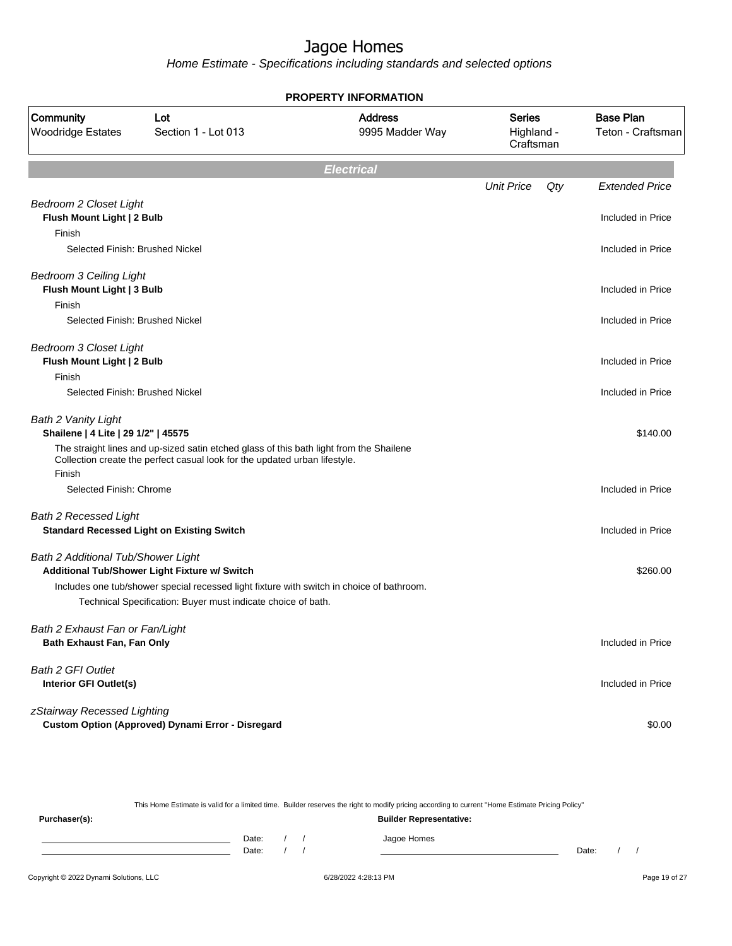Home Estimate - Specifications including standards and selected options

|                                                                             |                                                                                                                                                                                                            | <b>PROPERTY INFORMATION</b>       |                                          |     |                                       |
|-----------------------------------------------------------------------------|------------------------------------------------------------------------------------------------------------------------------------------------------------------------------------------------------------|-----------------------------------|------------------------------------------|-----|---------------------------------------|
| Community<br><b>Woodridge Estates</b>                                       | Lot<br>Section 1 - Lot 013                                                                                                                                                                                 | <b>Address</b><br>9995 Madder Way | <b>Series</b><br>Highland -<br>Craftsman |     | <b>Base Plan</b><br>Teton - Craftsman |
|                                                                             |                                                                                                                                                                                                            | <b>Electrical</b>                 |                                          |     |                                       |
|                                                                             |                                                                                                                                                                                                            |                                   | <b>Unit Price</b>                        | Qty | <b>Extended Price</b>                 |
| <b>Bedroom 2 Closet Light</b><br>Flush Mount Light   2 Bulb<br>Finish       |                                                                                                                                                                                                            |                                   |                                          |     | Included in Price                     |
| Selected Finish: Brushed Nickel                                             |                                                                                                                                                                                                            |                                   |                                          |     | Included in Price                     |
| <b>Bedroom 3 Ceiling Light</b><br>Flush Mount Light   3 Bulb<br>Finish      |                                                                                                                                                                                                            |                                   |                                          |     | Included in Price                     |
| Selected Finish: Brushed Nickel                                             |                                                                                                                                                                                                            |                                   |                                          |     | Included in Price                     |
| <b>Bedroom 3 Closet Light</b><br>Flush Mount Light   2 Bulb                 |                                                                                                                                                                                                            |                                   |                                          |     | Included in Price                     |
| Finish<br>Selected Finish: Brushed Nickel                                   |                                                                                                                                                                                                            |                                   |                                          |     | Included in Price                     |
| <b>Bath 2 Vanity Light</b><br>Shailene   4 Lite   29 1/2"   45575<br>Finish | The straight lines and up-sized satin etched glass of this bath light from the Shailene<br>Collection create the perfect casual look for the updated urban lifestyle.                                      |                                   |                                          |     | \$140.00                              |
| Selected Finish: Chrome                                                     |                                                                                                                                                                                                            |                                   |                                          |     | Included in Price                     |
| <b>Bath 2 Recessed Light</b>                                                | <b>Standard Recessed Light on Existing Switch</b>                                                                                                                                                          |                                   |                                          |     | Included in Price                     |
| Bath 2 Additional Tub/Shower Light                                          | Additional Tub/Shower Light Fixture w/ Switch<br>Includes one tub/shower special recessed light fixture with switch in choice of bathroom.<br>Technical Specification: Buyer must indicate choice of bath. |                                   |                                          |     | \$260.00                              |
| Bath 2 Exhaust Fan or Fan/Light<br>Bath Exhaust Fan, Fan Only               |                                                                                                                                                                                                            |                                   |                                          |     | Included in Price                     |
| <b>Bath 2 GFI Outlet</b><br>Interior GFI Outlet(s)                          |                                                                                                                                                                                                            |                                   |                                          |     | Included in Price                     |
| zStairway Recessed Lighting                                                 | Custom Option (Approved) Dynami Error - Disregard                                                                                                                                                          |                                   |                                          |     | \$0.00                                |

This Home Estimate is valid for a limited time. Builder reserves the right to modify pricing according to current "Home Estimate Pricing Policy"

**Purchaser(s): Builder Representative:** Date: / / Jagoe Homes<br>Date: / / Jagoe Homes Date: / /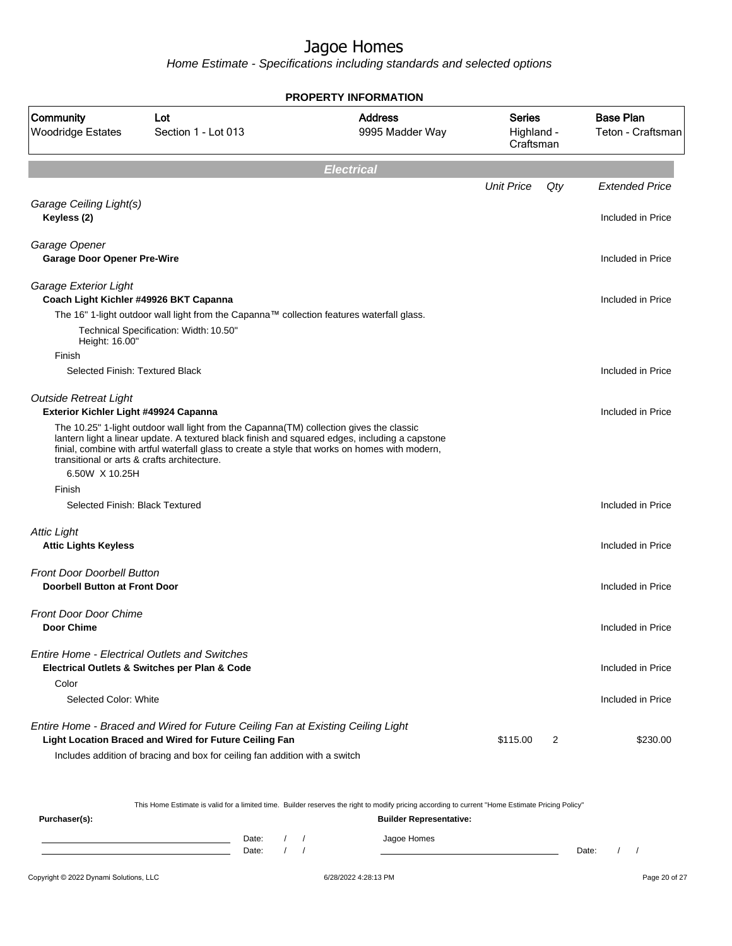Home Estimate - Specifications including standards and selected options

|                                                                           |                                                                                                                                                                                                                                                                                              | <b>PROPERTY INFORMATION</b>       |                                          |     |                                       |
|---------------------------------------------------------------------------|----------------------------------------------------------------------------------------------------------------------------------------------------------------------------------------------------------------------------------------------------------------------------------------------|-----------------------------------|------------------------------------------|-----|---------------------------------------|
| Community<br><b>Woodridge Estates</b>                                     | Lot<br>Section 1 - Lot 013                                                                                                                                                                                                                                                                   | <b>Address</b><br>9995 Madder Way | <b>Series</b><br>Highland -<br>Craftsman |     | <b>Base Plan</b><br>Teton - Craftsman |
|                                                                           |                                                                                                                                                                                                                                                                                              | <b>Electrical</b>                 |                                          |     |                                       |
|                                                                           |                                                                                                                                                                                                                                                                                              |                                   | <b>Unit Price</b>                        | Qty | <b>Extended Price</b>                 |
| Garage Ceiling Light(s)<br>Keyless (2)                                    |                                                                                                                                                                                                                                                                                              |                                   |                                          |     | Included in Price                     |
| Garage Opener<br><b>Garage Door Opener Pre-Wire</b>                       |                                                                                                                                                                                                                                                                                              |                                   |                                          |     | Included in Price                     |
| Garage Exterior Light<br>Coach Light Kichler #49926 BKT Capanna           |                                                                                                                                                                                                                                                                                              |                                   |                                          |     | Included in Price                     |
| Height: 16.00"                                                            | The 16" 1-light outdoor wall light from the Capanna™ collection features waterfall glass.<br>Technical Specification: Width: 10.50"                                                                                                                                                          |                                   |                                          |     |                                       |
| Finish<br>Selected Finish: Textured Black                                 |                                                                                                                                                                                                                                                                                              |                                   |                                          |     | Included in Price                     |
| <b>Outside Retreat Light</b><br>Exterior Kichler Light #49924 Capanna     |                                                                                                                                                                                                                                                                                              |                                   |                                          |     | Included in Price                     |
| transitional or arts & crafts architecture.<br>6.50W X 10.25H             | The 10.25" 1-light outdoor wall light from the Capanna (TM) collection gives the classic<br>lantern light a linear update. A textured black finish and squared edges, including a capstone<br>finial, combine with artful waterfall glass to create a style that works on homes with modern, |                                   |                                          |     |                                       |
| Finish                                                                    |                                                                                                                                                                                                                                                                                              |                                   |                                          |     |                                       |
| Selected Finish: Black Textured                                           |                                                                                                                                                                                                                                                                                              |                                   |                                          |     | Included in Price                     |
| <b>Attic Light</b><br><b>Attic Lights Keyless</b>                         |                                                                                                                                                                                                                                                                                              |                                   |                                          |     | Included in Price                     |
| <b>Front Door Doorbell Button</b><br><b>Doorbell Button at Front Door</b> |                                                                                                                                                                                                                                                                                              |                                   |                                          |     | Included in Price                     |
| <b>Front Door Door Chime</b><br>Door Chime                                |                                                                                                                                                                                                                                                                                              |                                   |                                          |     | Included in Price                     |
|                                                                           | <b>Entire Home - Electrical Outlets and Switches</b><br>Electrical Outlets & Switches per Plan & Code                                                                                                                                                                                        |                                   |                                          |     | Included in Price                     |
| Color<br>Selected Color: White                                            |                                                                                                                                                                                                                                                                                              |                                   |                                          |     | Included in Price                     |
|                                                                           | Entire Home - Braced and Wired for Future Ceiling Fan at Existing Ceiling Light<br>Light Location Braced and Wired for Future Ceiling Fan<br>Includes addition of bracing and box for ceiling fan addition with a switch                                                                     |                                   | \$115.00                                 | 2   | \$230.00                              |

This Home Estimate is valid for a limited time. Builder reserves the right to modify pricing according to current "Home Estimate Pricing Policy"

**Purchaser(s): Builder Representative:** Date: / / Jagoe Homes<br>Date: / / Jagoe Homes Date: / / **Date: / / 2006** Date: / / / Date: / / /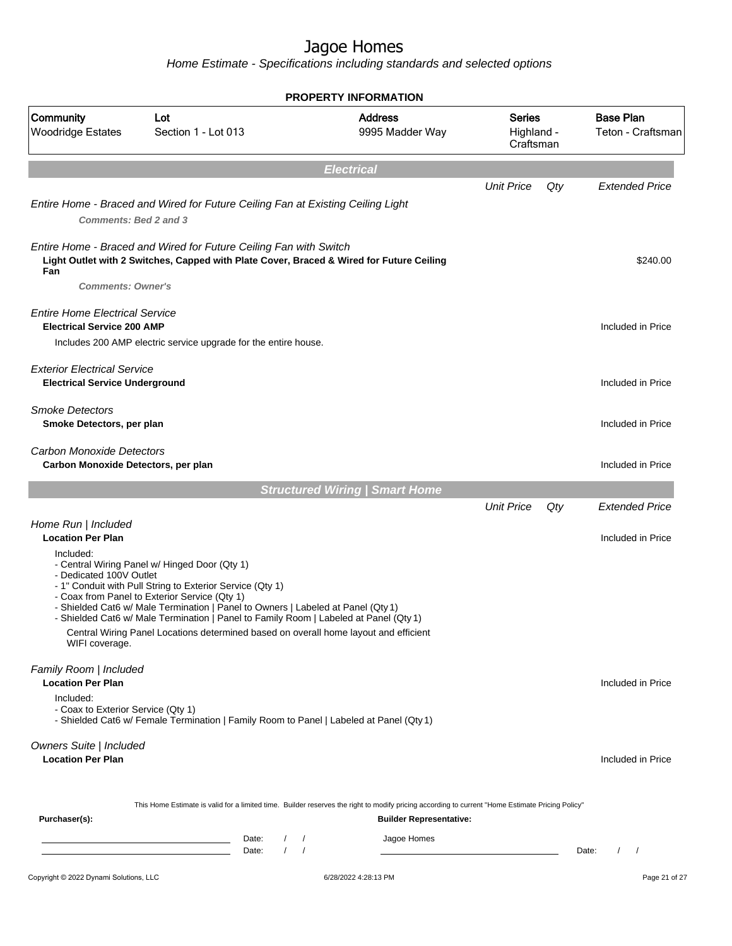|                                                                             |                                                                                                                                                                                                                                                                                                                                                                                                                                  | <b>PROPERTY INFORMATION</b>           |                                          |     |                                       |
|-----------------------------------------------------------------------------|----------------------------------------------------------------------------------------------------------------------------------------------------------------------------------------------------------------------------------------------------------------------------------------------------------------------------------------------------------------------------------------------------------------------------------|---------------------------------------|------------------------------------------|-----|---------------------------------------|
| Community<br><b>Woodridge Estates</b>                                       | Lot<br>Section 1 - Lot 013                                                                                                                                                                                                                                                                                                                                                                                                       | <b>Address</b><br>9995 Madder Way     | <b>Series</b><br>Highland -<br>Craftsman |     | <b>Base Plan</b><br>Teton - Craftsman |
|                                                                             |                                                                                                                                                                                                                                                                                                                                                                                                                                  | <b>Electrical</b>                     |                                          |     |                                       |
|                                                                             |                                                                                                                                                                                                                                                                                                                                                                                                                                  |                                       | <b>Unit Price</b>                        | Qty | <b>Extended Price</b>                 |
| Comments: Bed 2 and 3                                                       | Entire Home - Braced and Wired for Future Ceiling Fan at Existing Ceiling Light                                                                                                                                                                                                                                                                                                                                                  |                                       |                                          |     |                                       |
| Fan                                                                         | Entire Home - Braced and Wired for Future Ceiling Fan with Switch<br>Light Outlet with 2 Switches, Capped with Plate Cover, Braced & Wired for Future Ceiling                                                                                                                                                                                                                                                                    |                                       |                                          |     | \$240.00                              |
| <b>Comments: Owner's</b>                                                    |                                                                                                                                                                                                                                                                                                                                                                                                                                  |                                       |                                          |     |                                       |
| <b>Entire Home Electrical Service</b><br><b>Electrical Service 200 AMP</b>  | Includes 200 AMP electric service upgrade for the entire house.                                                                                                                                                                                                                                                                                                                                                                  |                                       |                                          |     | Included in Price                     |
|                                                                             |                                                                                                                                                                                                                                                                                                                                                                                                                                  |                                       |                                          |     |                                       |
| <b>Exterior Electrical Service</b><br><b>Electrical Service Underground</b> |                                                                                                                                                                                                                                                                                                                                                                                                                                  |                                       |                                          |     | Included in Price                     |
| <b>Smoke Detectors</b><br>Smoke Detectors, per plan                         |                                                                                                                                                                                                                                                                                                                                                                                                                                  |                                       |                                          |     | Included in Price                     |
| Carbon Monoxide Detectors<br>Carbon Monoxide Detectors, per plan            |                                                                                                                                                                                                                                                                                                                                                                                                                                  |                                       |                                          |     | Included in Price                     |
|                                                                             |                                                                                                                                                                                                                                                                                                                                                                                                                                  | <b>Structured Wiring   Smart Home</b> |                                          |     |                                       |
|                                                                             |                                                                                                                                                                                                                                                                                                                                                                                                                                  |                                       | <b>Unit Price</b>                        | Qty | <b>Extended Price</b>                 |
| Home Run   Included<br><b>Location Per Plan</b>                             |                                                                                                                                                                                                                                                                                                                                                                                                                                  |                                       |                                          |     | Included in Price                     |
| Included:<br>- Dedicated 100V Outlet<br>WIFI coverage.                      | - Central Wiring Panel w/ Hinged Door (Qty 1)<br>- 1" Conduit with Pull String to Exterior Service (Qty 1)<br>- Coax from Panel to Exterior Service (Qty 1)<br>- Shielded Cat6 w/ Male Termination   Panel to Owners   Labeled at Panel (Qty 1)<br>- Shielded Cat6 w/ Male Termination   Panel to Family Room   Labeled at Panel (Qty 1)<br>Central Wiring Panel Locations determined based on overall home layout and efficient |                                       |                                          |     |                                       |
| Family Room   Included<br><b>Location Per Plan</b>                          |                                                                                                                                                                                                                                                                                                                                                                                                                                  |                                       |                                          |     | Included in Price                     |
| Included:<br>- Coax to Exterior Service (Qty 1)                             | - Shielded Cat6 w/ Female Termination   Family Room to Panel   Labeled at Panel (Qty 1)                                                                                                                                                                                                                                                                                                                                          |                                       |                                          |     |                                       |
| Owners Suite   Included<br><b>Location Per Plan</b>                         |                                                                                                                                                                                                                                                                                                                                                                                                                                  |                                       |                                          |     | Included in Price                     |
| Purchaser(s):                                                               | This Home Estimate is valid for a limited time. Builder reserves the right to modify pricing according to current "Home Estimate Pricing Policy"                                                                                                                                                                                                                                                                                 | <b>Builder Representative:</b>        |                                          |     |                                       |
|                                                                             | $1 \quad 1$<br>Date:                                                                                                                                                                                                                                                                                                                                                                                                             |                                       |                                          |     |                                       |
|                                                                             | the control of the control of the control of the control of the control of<br>$\sqrt{2}$<br>$\prime$<br>Date:                                                                                                                                                                                                                                                                                                                    | Jagoe Homes                           |                                          |     | $\left  \right $<br>Date:             |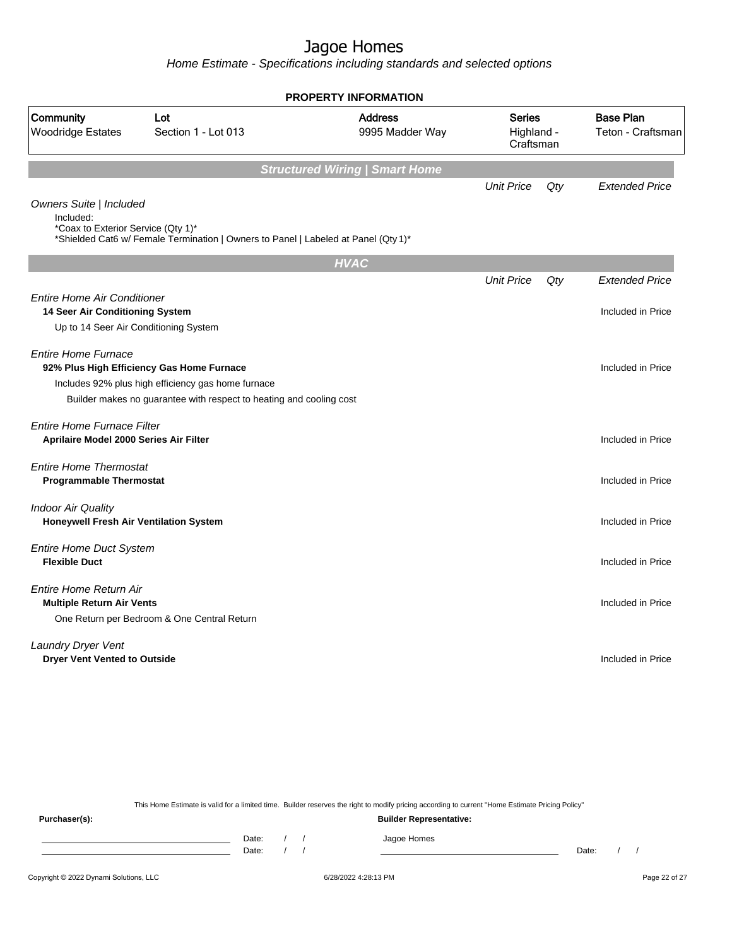Home Estimate - Specifications including standards and selected options

|                                                                            |                                                                                                                                                                        | <b>PROPERTY INFORMATION</b>           |                                          |     |                                       |
|----------------------------------------------------------------------------|------------------------------------------------------------------------------------------------------------------------------------------------------------------------|---------------------------------------|------------------------------------------|-----|---------------------------------------|
| Community<br><b>Woodridge Estates</b>                                      | Lot<br>Section 1 - Lot 013                                                                                                                                             | <b>Address</b><br>9995 Madder Way     | <b>Series</b><br>Highland -<br>Craftsman |     | <b>Base Plan</b><br>Teton - Craftsman |
|                                                                            |                                                                                                                                                                        | <b>Structured Wiring   Smart Home</b> |                                          |     |                                       |
| Owners Suite   Included<br>Included:<br>*Coax to Exterior Service (Qty 1)* | *Shielded Cat6 w/ Female Termination   Owners to Panel   Labeled at Panel (Qty 1)*                                                                                     |                                       | <b>Unit Price</b>                        | Qty | <b>Extended Price</b>                 |
|                                                                            |                                                                                                                                                                        | <b>HVAC</b>                           |                                          |     |                                       |
| <b>Entire Home Air Conditioner</b>                                         |                                                                                                                                                                        |                                       | <b>Unit Price</b>                        | Qty | <b>Extended Price</b>                 |
| 14 Seer Air Conditioning System<br>Up to 14 Seer Air Conditioning System   |                                                                                                                                                                        |                                       |                                          |     | Included in Price                     |
| <b>Entire Home Furnace</b>                                                 | 92% Plus High Efficiency Gas Home Furnace<br>Includes 92% plus high efficiency gas home furnace<br>Builder makes no guarantee with respect to heating and cooling cost |                                       |                                          |     | Included in Price                     |
| Entire Home Furnace Filter<br>Aprilaire Model 2000 Series Air Filter       |                                                                                                                                                                        |                                       |                                          |     | Included in Price                     |
| <b>Entire Home Thermostat</b><br><b>Programmable Thermostat</b>            |                                                                                                                                                                        |                                       |                                          |     | Included in Price                     |
| <b>Indoor Air Quality</b><br><b>Honeywell Fresh Air Ventilation System</b> |                                                                                                                                                                        |                                       |                                          |     | Included in Price                     |
| <b>Entire Home Duct System</b><br><b>Flexible Duct</b>                     |                                                                                                                                                                        |                                       |                                          |     | Included in Price                     |
| Entire Home Return Air<br><b>Multiple Return Air Vents</b>                 | One Return per Bedroom & One Central Return                                                                                                                            |                                       |                                          |     | Included in Price                     |
| Laundry Dryer Vent<br><b>Dryer Vent Vented to Outside</b>                  |                                                                                                                                                                        |                                       |                                          |     | Included in Price                     |
|                                                                            |                                                                                                                                                                        |                                       |                                          |     |                                       |

This Home Estimate is valid for a limited time. Builder reserves the right to modify pricing according to current "Home Estimate Pricing Policy"

**Purchaser(s): Builder Representative:** Date: / / Jagoe Homes<br>Date: / / Jagoe Homes Date: / / Date: / /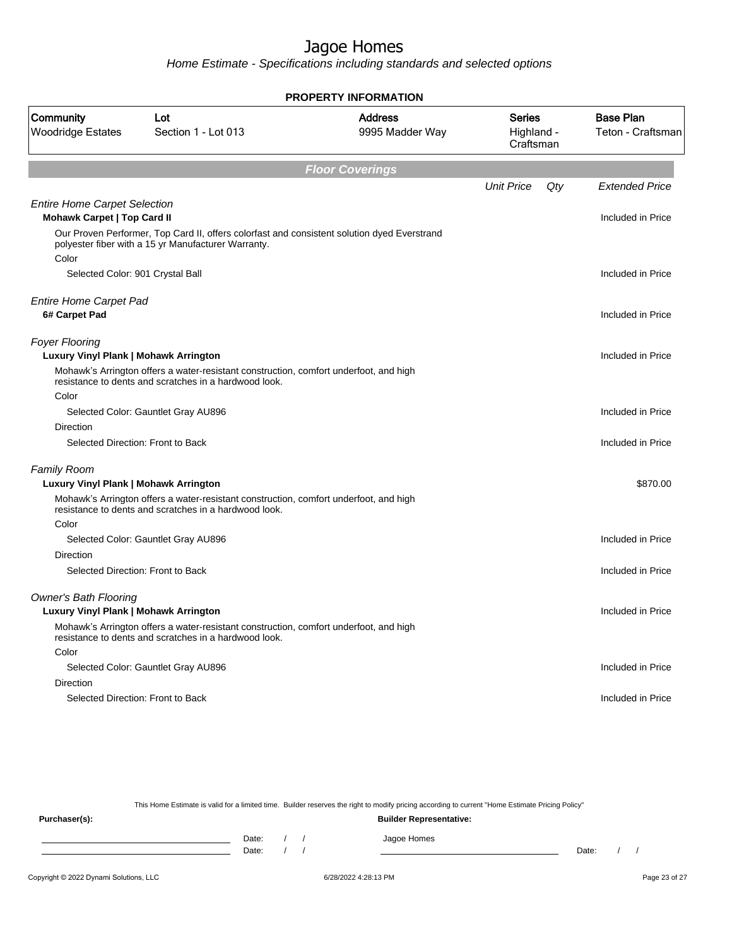Home Estimate - Specifications including standards and selected options

|                                                                           |                                                                                                                                                    | <b>PROPERTY INFORMATION</b>       |                                          |     |                                       |
|---------------------------------------------------------------------------|----------------------------------------------------------------------------------------------------------------------------------------------------|-----------------------------------|------------------------------------------|-----|---------------------------------------|
| Community<br><b>Woodridge Estates</b>                                     | Lot<br>Section 1 - Lot 013                                                                                                                         | <b>Address</b><br>9995 Madder Way | <b>Series</b><br>Highland -<br>Craftsman |     | <b>Base Plan</b><br>Teton - Craftsman |
|                                                                           |                                                                                                                                                    | <b>Floor Coverings</b>            |                                          |     |                                       |
|                                                                           |                                                                                                                                                    |                                   | <b>Unit Price</b>                        | Qty | <b>Extended Price</b>                 |
| <b>Entire Home Carpet Selection</b><br><b>Mohawk Carpet   Top Card II</b> |                                                                                                                                                    |                                   |                                          |     | Included in Price                     |
|                                                                           | Our Proven Performer, Top Card II, offers colorfast and consistent solution dyed Everstrand<br>polyester fiber with a 15 yr Manufacturer Warranty. |                                   |                                          |     |                                       |
| Color<br>Selected Color: 901 Crystal Ball                                 |                                                                                                                                                    |                                   |                                          |     | Included in Price                     |
|                                                                           |                                                                                                                                                    |                                   |                                          |     |                                       |
| <b>Entire Home Carpet Pad</b><br>6# Carpet Pad                            |                                                                                                                                                    |                                   |                                          |     | Included in Price                     |
| <b>Foyer Flooring</b><br>Luxury Vinyl Plank   Mohawk Arrington            |                                                                                                                                                    |                                   |                                          |     | Included in Price                     |
|                                                                           | Mohawk's Arrington offers a water-resistant construction, comfort underfoot, and high<br>resistance to dents and scratches in a hardwood look.     |                                   |                                          |     |                                       |
| Color                                                                     |                                                                                                                                                    |                                   |                                          |     |                                       |
|                                                                           | Selected Color: Gauntlet Gray AU896                                                                                                                |                                   |                                          |     | Included in Price                     |
| Direction                                                                 |                                                                                                                                                    |                                   |                                          |     |                                       |
|                                                                           | Selected Direction: Front to Back                                                                                                                  |                                   |                                          |     | Included in Price                     |
| <b>Family Room</b>                                                        |                                                                                                                                                    |                                   |                                          |     |                                       |
| Luxury Vinyl Plank   Mohawk Arrington                                     |                                                                                                                                                    |                                   |                                          |     | \$870.00                              |
|                                                                           | Mohawk's Arrington offers a water-resistant construction, comfort underfoot, and high<br>resistance to dents and scratches in a hardwood look.     |                                   |                                          |     |                                       |
| Color                                                                     |                                                                                                                                                    |                                   |                                          |     |                                       |
|                                                                           | Selected Color: Gauntlet Gray AU896                                                                                                                |                                   |                                          |     | Included in Price                     |
| Direction                                                                 |                                                                                                                                                    |                                   |                                          |     |                                       |
|                                                                           | Selected Direction: Front to Back                                                                                                                  |                                   |                                          |     | Included in Price                     |
| <b>Owner's Bath Flooring</b>                                              |                                                                                                                                                    |                                   |                                          |     |                                       |
| Luxury Vinyl Plank   Mohawk Arrington                                     |                                                                                                                                                    |                                   |                                          |     | Included in Price                     |
|                                                                           | Mohawk's Arrington offers a water-resistant construction, comfort underfoot, and high<br>resistance to dents and scratches in a hardwood look.     |                                   |                                          |     |                                       |
| Color                                                                     |                                                                                                                                                    |                                   |                                          |     |                                       |
|                                                                           | Selected Color: Gauntlet Gray AU896                                                                                                                |                                   |                                          |     | Included in Price                     |
| <b>Direction</b>                                                          |                                                                                                                                                    |                                   |                                          |     |                                       |
|                                                                           | Selected Direction: Front to Back                                                                                                                  |                                   |                                          |     | Included in Price                     |
|                                                                           |                                                                                                                                                    |                                   |                                          |     |                                       |

This Home Estimate is valid for a limited time. Builder reserves the right to modify pricing according to current "Home Estimate Pricing Policy"

**Purchaser(s): Builder Representative:** Date: / / Jagoe Homes<br>Date: / / Jagoe Homes Date: / / **Date: / / 2006** Date: / / / Date: / / /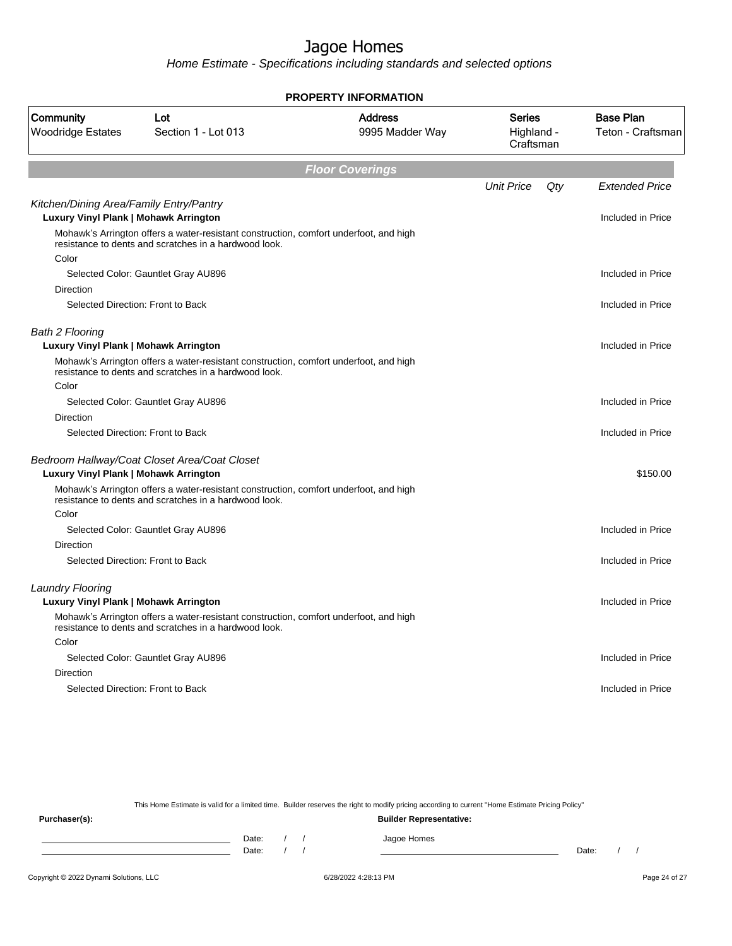Home Estimate - Specifications including standards and selected options

|                                                                                         |                                                                                                                                                | <b>PROPERTY INFORMATION</b>       |                                          |     |                                       |
|-----------------------------------------------------------------------------------------|------------------------------------------------------------------------------------------------------------------------------------------------|-----------------------------------|------------------------------------------|-----|---------------------------------------|
| Community<br><b>Woodridge Estates</b>                                                   | Lot<br>Section 1 - Lot 013                                                                                                                     | <b>Address</b><br>9995 Madder Way | <b>Series</b><br>Highland -<br>Craftsman |     | <b>Base Plan</b><br>Teton - Craftsman |
|                                                                                         |                                                                                                                                                | <b>Floor Coverings</b>            |                                          |     |                                       |
|                                                                                         |                                                                                                                                                |                                   | <b>Unit Price</b>                        | Qty | <b>Extended Price</b>                 |
| Kitchen/Dining Area/Family Entry/Pantry<br><b>Luxury Vinyl Plank   Mohawk Arrington</b> |                                                                                                                                                |                                   |                                          |     | Included in Price                     |
| Color                                                                                   | Mohawk's Arrington offers a water-resistant construction, comfort underfoot, and high<br>resistance to dents and scratches in a hardwood look. |                                   |                                          |     |                                       |
|                                                                                         | Selected Color: Gauntlet Gray AU896                                                                                                            |                                   |                                          |     | Included in Price                     |
| Direction                                                                               |                                                                                                                                                |                                   |                                          |     |                                       |
|                                                                                         | Selected Direction: Front to Back                                                                                                              |                                   |                                          |     | Included in Price                     |
| <b>Bath 2 Flooring</b><br>Luxury Vinyl Plank   Mohawk Arrington                         |                                                                                                                                                |                                   |                                          |     | Included in Price                     |
|                                                                                         | Mohawk's Arrington offers a water-resistant construction, comfort underfoot, and high<br>resistance to dents and scratches in a hardwood look. |                                   |                                          |     |                                       |
| Color                                                                                   |                                                                                                                                                |                                   |                                          |     |                                       |
|                                                                                         | Selected Color: Gauntlet Gray AU896                                                                                                            |                                   |                                          |     | Included in Price                     |
| <b>Direction</b>                                                                        |                                                                                                                                                |                                   |                                          |     |                                       |
|                                                                                         | Selected Direction: Front to Back                                                                                                              |                                   |                                          |     | Included in Price                     |
| Luxury Vinyl Plank   Mohawk Arrington                                                   | Bedroom Hallway/Coat Closet Area/Coat Closet                                                                                                   |                                   |                                          |     | \$150.00                              |
|                                                                                         | Mohawk's Arrington offers a water-resistant construction, comfort underfoot, and high<br>resistance to dents and scratches in a hardwood look. |                                   |                                          |     |                                       |
| Color                                                                                   |                                                                                                                                                |                                   |                                          |     |                                       |
|                                                                                         | Selected Color: Gauntlet Gray AU896                                                                                                            |                                   |                                          |     | Included in Price                     |
| <b>Direction</b>                                                                        |                                                                                                                                                |                                   |                                          |     |                                       |
|                                                                                         | Selected Direction: Front to Back                                                                                                              |                                   |                                          |     | Included in Price                     |
| <b>Laundry Flooring</b>                                                                 |                                                                                                                                                |                                   |                                          |     |                                       |
| <b>Luxury Vinyl Plank   Mohawk Arrington</b>                                            |                                                                                                                                                |                                   |                                          |     | Included in Price                     |
|                                                                                         | Mohawk's Arrington offers a water-resistant construction, comfort underfoot, and high<br>resistance to dents and scratches in a hardwood look. |                                   |                                          |     |                                       |
| Color                                                                                   |                                                                                                                                                |                                   |                                          |     |                                       |
|                                                                                         | Selected Color: Gauntlet Gray AU896                                                                                                            |                                   |                                          |     | Included in Price                     |
| <b>Direction</b>                                                                        |                                                                                                                                                |                                   |                                          |     |                                       |
|                                                                                         | Selected Direction: Front to Back                                                                                                              |                                   |                                          |     | Included in Price                     |
|                                                                                         |                                                                                                                                                |                                   |                                          |     |                                       |

This Home Estimate is valid for a limited time. Builder reserves the right to modify pricing according to current "Home Estimate Pricing Policy"

**Purchaser(s): Builder Representative:** Date: / / Jagoe Homes<br>Date: / / Jagoe Homes Date: / / **Date: / / 2006** Date: / / / Date: / / /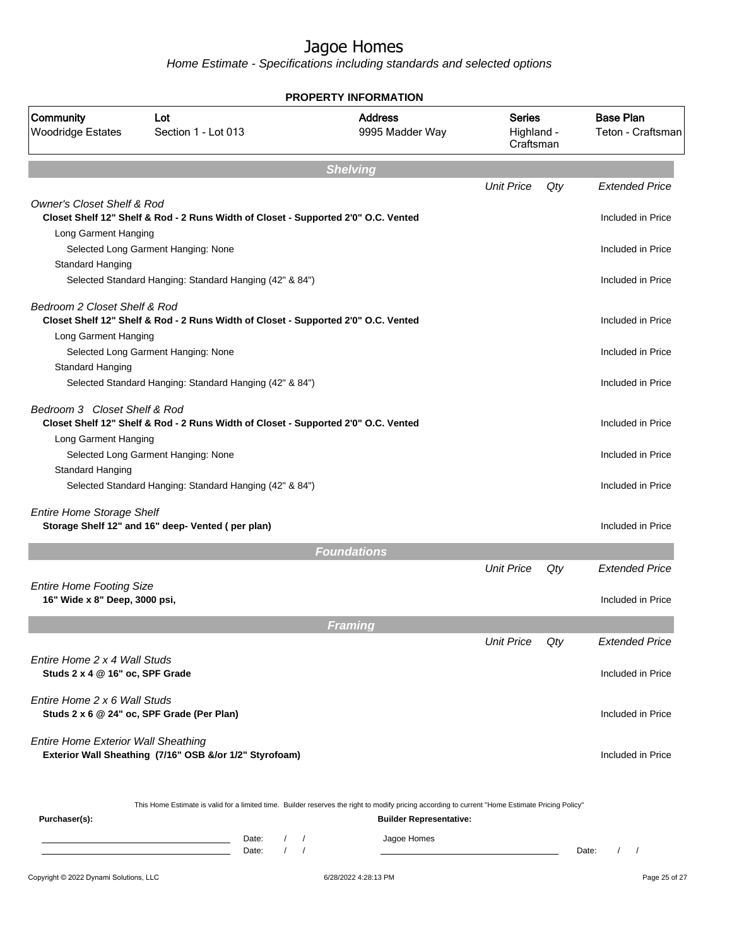|                                                                  |                                                                                                                                                    | <b>PROPERTY INFORMATION</b>       |                                          |     |                                               |
|------------------------------------------------------------------|----------------------------------------------------------------------------------------------------------------------------------------------------|-----------------------------------|------------------------------------------|-----|-----------------------------------------------|
| Community<br><b>Woodridge Estates</b>                            | Lot<br>Section 1 - Lot 013                                                                                                                         | <b>Address</b><br>9995 Madder Way | <b>Series</b><br>Highland -<br>Craftsman |     | <b>Base Plan</b><br>Teton - Craftsman         |
|                                                                  |                                                                                                                                                    | <b>Shelving</b>                   |                                          |     |                                               |
|                                                                  |                                                                                                                                                    |                                   | <b>Unit Price</b>                        | Qty | <b>Extended Price</b>                         |
| <b>Owner's Closet Shelf &amp; Rod</b>                            | Closet Shelf 12" Shelf & Rod - 2 Runs Width of Closet - Supported 2'0" O.C. Vented                                                                 |                                   |                                          |     | Included in Price                             |
| Long Garment Hanging                                             | Selected Long Garment Hanging: None                                                                                                                |                                   |                                          |     | Included in Price                             |
| Standard Hanging                                                 | Selected Standard Hanging: Standard Hanging (42" & 84")                                                                                            |                                   |                                          |     | Included in Price                             |
| Bedroom 2 Closet Shelf & Rod<br>Long Garment Hanging             | Closet Shelf 12" Shelf & Rod - 2 Runs Width of Closet - Supported 2'0" O.C. Vented                                                                 |                                   |                                          |     | Included in Price                             |
| <b>Standard Hanging</b>                                          | Selected Long Garment Hanging: None                                                                                                                |                                   |                                          |     | Included in Price                             |
|                                                                  | Selected Standard Hanging: Standard Hanging (42" & 84")                                                                                            |                                   |                                          |     | Included in Price                             |
| Bedroom 3 Closet Shelf & Rod                                     | Closet Shelf 12" Shelf & Rod - 2 Runs Width of Closet - Supported 2'0" O.C. Vented                                                                 |                                   |                                          |     | Included in Price                             |
| Long Garment Hanging                                             | Selected Long Garment Hanging: None                                                                                                                |                                   |                                          |     | Included in Price                             |
| Standard Hanging                                                 | Selected Standard Hanging: Standard Hanging (42" & 84")                                                                                            |                                   |                                          |     | Included in Price                             |
| <b>Entire Home Storage Shelf</b>                                 | Storage Shelf 12" and 16" deep- Vented (per plan)                                                                                                  |                                   |                                          |     | Included in Price                             |
|                                                                  |                                                                                                                                                    | <b>Foundations</b>                |                                          |     |                                               |
|                                                                  |                                                                                                                                                    |                                   | <b>Unit Price</b>                        | Qty | <b>Extended Price</b>                         |
| <b>Entire Home Footing Size</b><br>16" Wide x 8" Deep, 3000 psi, |                                                                                                                                                    |                                   |                                          |     | Included in Price                             |
|                                                                  |                                                                                                                                                    | Framing                           |                                          |     |                                               |
|                                                                  |                                                                                                                                                    |                                   | <b>Unit Price</b>                        | Qty | Extended Price                                |
| Entire Home 2 x 4 Wall Studs<br>Studs 2 x 4 @ 16" oc, SPF Grade  |                                                                                                                                                    |                                   |                                          |     | Included in Price                             |
| Entire Home 2 x 6 Wall Studs                                     | Studs 2 x 6 @ 24" oc, SPF Grade (Per Plan)                                                                                                         |                                   |                                          |     | Included in Price                             |
| <b>Entire Home Exterior Wall Sheathing</b>                       | Exterior Wall Sheathing (7/16" OSB &/or 1/2" Styrofoam)                                                                                            |                                   |                                          |     | Included in Price                             |
| Purchaser(s):                                                    | This Home Estimate is valid for a limited time. Builder reserves the right to modify pricing according to current "Home Estimate Pricing Policy"   | <b>Builder Representative:</b>    |                                          |     |                                               |
|                                                                  | Date:<br>$\sqrt{2}$<br>$\sqrt{ }$<br>$\prime$<br>$\sqrt{ }$<br>the control of the control of the control of the control of the control of<br>Date: | Jagoe Homes                       |                                          |     | $\prime$<br>$\overline{\phantom{a}}$<br>Date: |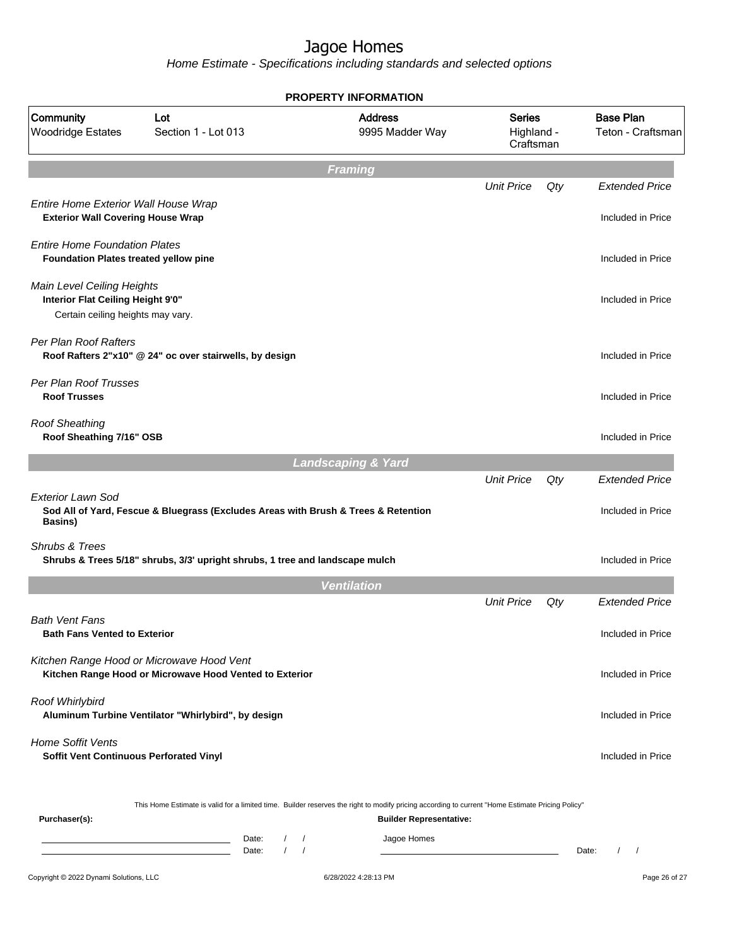|                                                                                                      |                                                                                                                                                  | <b>PROPERTY INFORMATION</b>       |                                          |     |                                            |
|------------------------------------------------------------------------------------------------------|--------------------------------------------------------------------------------------------------------------------------------------------------|-----------------------------------|------------------------------------------|-----|--------------------------------------------|
| Community<br><b>Woodridge Estates</b>                                                                | Lot<br>Section 1 - Lot 013                                                                                                                       | <b>Address</b><br>9995 Madder Way | <b>Series</b><br>Highland -<br>Craftsman |     | <b>Base Plan</b><br>Teton - Craftsman      |
|                                                                                                      |                                                                                                                                                  | <b>Framing</b>                    |                                          |     |                                            |
| Entire Home Exterior Wall House Wrap<br><b>Exterior Wall Covering House Wrap</b>                     |                                                                                                                                                  |                                   | <b>Unit Price</b>                        | Qty | <b>Extended Price</b><br>Included in Price |
| <b>Entire Home Foundation Plates</b><br><b>Foundation Plates treated yellow pine</b>                 |                                                                                                                                                  |                                   |                                          |     | Included in Price                          |
| Main Level Ceiling Heights<br>Interior Flat Ceiling Height 9'0"<br>Certain ceiling heights may vary. |                                                                                                                                                  |                                   |                                          |     | Included in Price                          |
| Per Plan Roof Rafters                                                                                | Roof Rafters 2"x10" @ 24" oc over stairwells, by design                                                                                          |                                   |                                          |     | Included in Price                          |
| Per Plan Roof Trusses<br><b>Roof Trusses</b>                                                         |                                                                                                                                                  |                                   |                                          |     | Included in Price                          |
| <b>Roof Sheathing</b><br>Roof Sheathing 7/16" OSB                                                    |                                                                                                                                                  |                                   |                                          |     | Included in Price                          |
|                                                                                                      |                                                                                                                                                  | <b>Landscaping &amp; Yard</b>     |                                          |     |                                            |
| <b>Exterior Lawn Sod</b><br>Basins)                                                                  | Sod All of Yard, Fescue & Bluegrass (Excludes Areas with Brush & Trees & Retention                                                               |                                   | <b>Unit Price</b>                        | Qty | <b>Extended Price</b><br>Included in Price |
| <b>Shrubs &amp; Trees</b>                                                                            | Shrubs & Trees 5/18" shrubs, 3/3' upright shrubs, 1 tree and landscape mulch                                                                     |                                   |                                          |     | Included in Price                          |
|                                                                                                      |                                                                                                                                                  | <b>Ventilation</b>                |                                          |     |                                            |
|                                                                                                      |                                                                                                                                                  |                                   | <b>Unit Price</b>                        | Qty | <b>Extended Price</b>                      |
| <b>Bath Vent Fans</b><br><b>Bath Fans Vented to Exterior</b>                                         |                                                                                                                                                  |                                   |                                          |     | Included in Price                          |
|                                                                                                      | Kitchen Range Hood or Microwave Hood Vent<br>Kitchen Range Hood or Microwave Hood Vented to Exterior                                             |                                   |                                          |     | Included in Price                          |
| Roof Whirlybird                                                                                      | Aluminum Turbine Ventilator "Whirlybird", by design                                                                                              |                                   |                                          |     | Included in Price                          |
| <b>Home Soffit Vents</b><br>Soffit Vent Continuous Perforated Vinyl                                  |                                                                                                                                                  |                                   |                                          |     | Included in Price                          |
| Purchaser(s):                                                                                        | This Home Estimate is valid for a limited time. Builder reserves the right to modify pricing according to current "Home Estimate Pricing Policy" | <b>Builder Representative:</b>    |                                          |     |                                            |
|                                                                                                      | Date:<br>$\sqrt{2}$<br>Date:                                                                                                                     | Jagoe Homes                       |                                          |     | Date:<br>$\prime$                          |